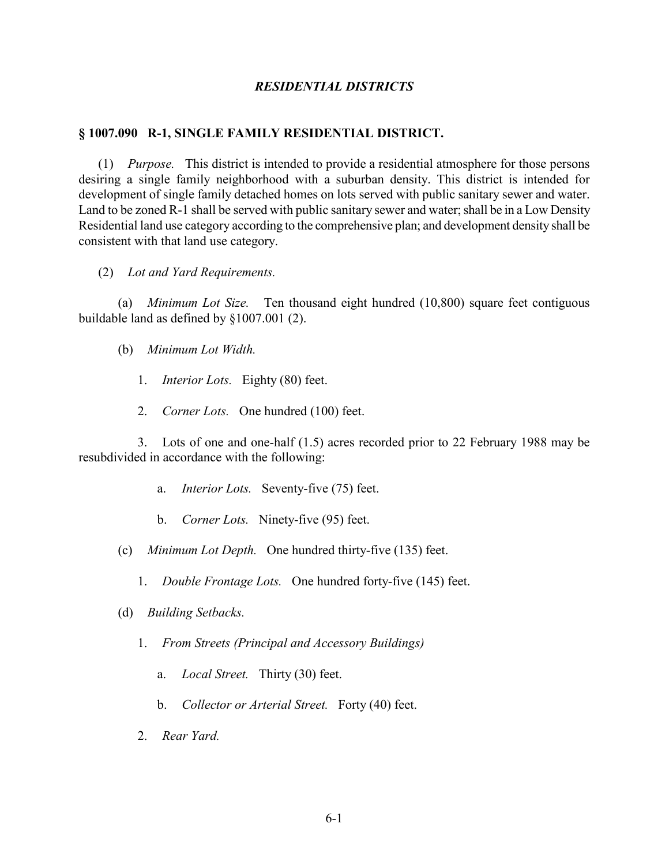## *RESIDENTIAL DISTRICTS*

### **§ 1007.090 R-1, SINGLE FAMILY RESIDENTIAL DISTRICT.**

(1) *Purpose.* This district is intended to provide a residential atmosphere for those persons desiring a single family neighborhood with a suburban density. This district is intended for development of single family detached homes on lots served with public sanitary sewer and water. Land to be zoned R-1 shall be served with public sanitary sewer and water; shall be in a Low Density Residential land use category according to the comprehensive plan; and development density shall be consistent with that land use category.

(2) *Lot and Yard Requirements.*

(a) *Minimum Lot Size.* Ten thousand eight hundred (10,800) square feet contiguous buildable land as defined by §1007.001 (2).

- (b) *Minimum Lot Width.* 
	- 1. *Interior Lots.* Eighty (80) feet.
	- 2. *Corner Lots.* One hundred (100) feet.

3. Lots of one and one-half (1.5) acres recorded prior to 22 February 1988 may be resubdivided in accordance with the following:

- a. *Interior Lots.* Seventy-five (75) feet.
- b. *Corner Lots.* Ninety-five (95) feet.
- (c) *Minimum Lot Depth.* One hundred thirty-five (135) feet.
	- 1. *Double Frontage Lots.* One hundred forty-five (145) feet.
- (d) *Building Setbacks.* 
	- 1. *From Streets (Principal and Accessory Buildings)*
		- a. *Local Street.* Thirty (30) feet.
		- b. *Collector or Arterial Street.* Forty (40) feet.
	- 2. *Rear Yard.*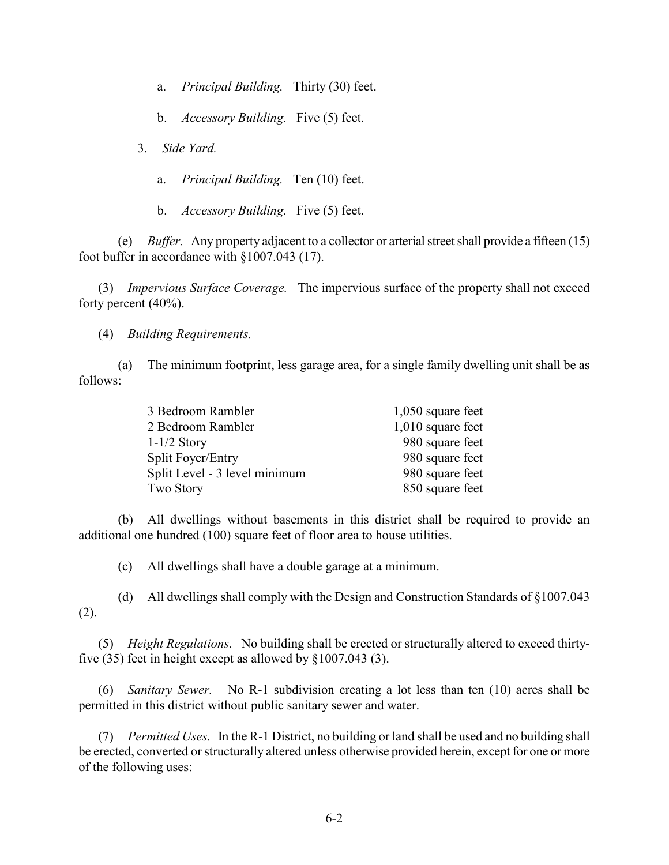a. *Principal Building.* Thirty (30) feet.

b. *Accessory Building.* Five (5) feet.

3. *Side Yard.*

- a. *Principal Building.* Ten (10) feet.
- b. *Accessory Building.* Five (5) feet.

(e) *Buffer.* Any property adjacent to a collector or arterial street shall provide a fifteen (15) foot buffer in accordance with §1007.043 (17).

(3) *Impervious Surface Coverage.* The impervious surface of the property shall not exceed forty percent (40%).

(4) *Building Requirements.*

(a) The minimum footprint, less garage area, for a single family dwelling unit shall be as follows:

| 3 Bedroom Rambler             | $1,050$ square feet |
|-------------------------------|---------------------|
| 2 Bedroom Rambler             | $1,010$ square feet |
| $1-1/2$ Story                 | 980 square feet     |
| Split Foyer/Entry             | 980 square feet     |
| Split Level - 3 level minimum | 980 square feet     |
| Two Story                     | 850 square feet     |

(b) All dwellings without basements in this district shall be required to provide an additional one hundred (100) square feet of floor area to house utilities.

(c) All dwellings shall have a double garage at a minimum.

(d) All dwellings shall comply with the Design and Construction Standards of §1007.043 (2).

(5) *Height Regulations.* No building shall be erected or structurally altered to exceed thirtyfive (35) feet in height except as allowed by §1007.043 (3).

(6) *Sanitary Sewer.* No R-1 subdivision creating a lot less than ten (10) acres shall be permitted in this district without public sanitary sewer and water.

(7) *Permitted Uses.* In the R-1 District, no building or land shall be used and no building shall be erected, converted or structurally altered unless otherwise provided herein, except for one or more of the following uses: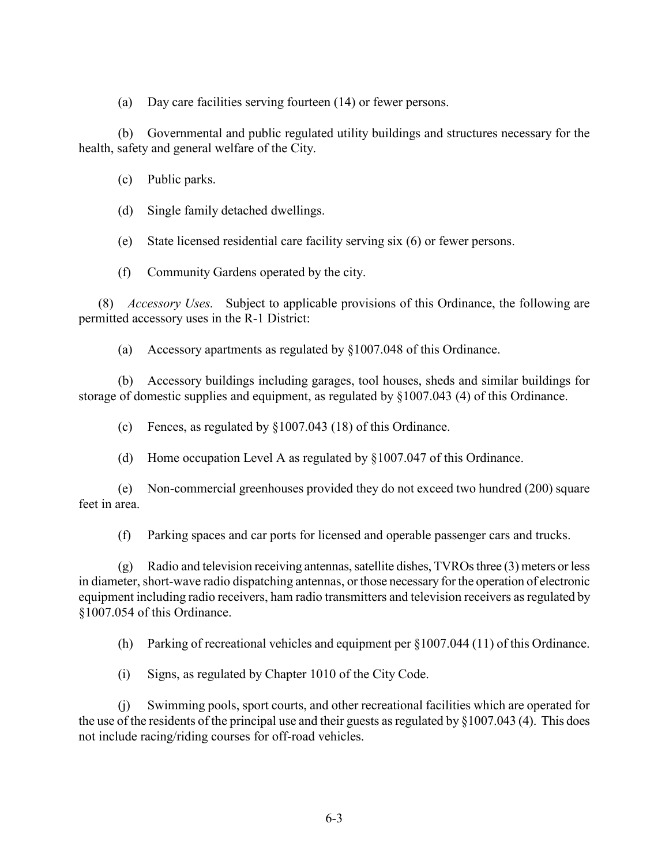(a) Day care facilities serving fourteen (14) or fewer persons.

(b) Governmental and public regulated utility buildings and structures necessary for the health, safety and general welfare of the City.

(c) Public parks.

(d) Single family detached dwellings.

(e) State licensed residential care facility serving six (6) or fewer persons.

(f) Community Gardens operated by the city.

(8) *Accessory Uses.*Subject to applicable provisions of this Ordinance, the following are permitted accessory uses in the R-1 District:

(a) Accessory apartments as regulated by §1007.048 of this Ordinance.

(b) Accessory buildings including garages, tool houses, sheds and similar buildings for storage of domestic supplies and equipment, as regulated by §1007.043 (4) of this Ordinance.

(c) Fences, as regulated by §1007.043 (18) of this Ordinance.

(d) Home occupation Level A as regulated by §1007.047 of this Ordinance.

(e) Non-commercial greenhouses provided they do not exceed two hundred (200) square feet in area.

(f) Parking spaces and car ports for licensed and operable passenger cars and trucks.

(g) Radio and television receiving antennas, satellite dishes, TVROs three (3) meters or less in diameter, short-wave radio dispatching antennas, or those necessary for the operation of electronic equipment including radio receivers, ham radio transmitters and television receivers as regulated by §1007.054 of this Ordinance.

(h) Parking of recreational vehicles and equipment per §1007.044 (11) of this Ordinance.

(i) Signs, as regulated by Chapter 1010 of the City Code.

(j) Swimming pools, sport courts, and other recreational facilities which are operated for the use of the residents of the principal use and their guests as regulated by §1007.043 (4). This does not include racing/riding courses for off-road vehicles.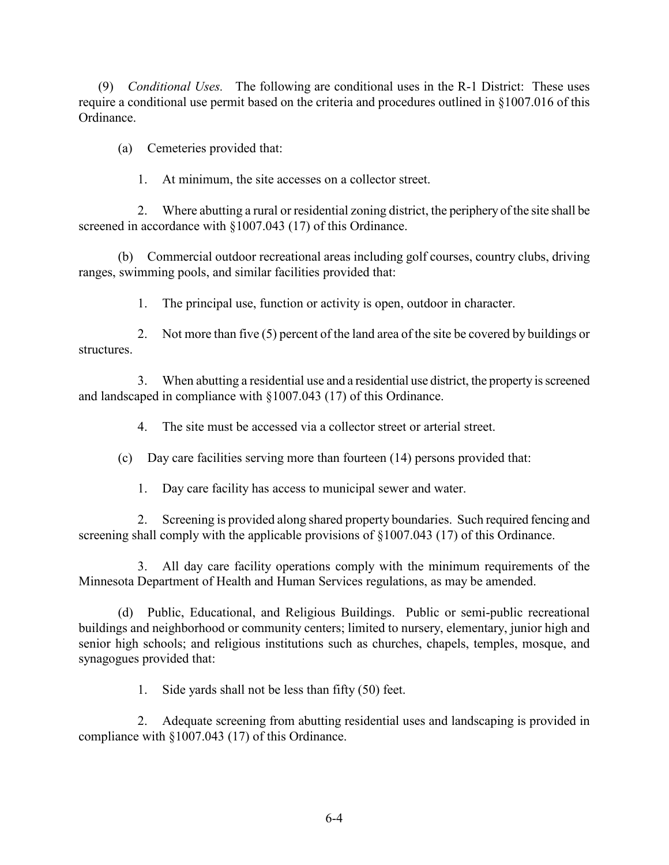(9) *Conditional Uses.* The following are conditional uses in the R-1 District: These uses require a conditional use permit based on the criteria and procedures outlined in §1007.016 of this Ordinance.

(a) Cemeteries provided that:

1. At minimum, the site accesses on a collector street.

2. Where abutting a rural or residential zoning district, the periphery of the site shall be screened in accordance with §1007.043 (17) of this Ordinance.

(b) Commercial outdoor recreational areas including golf courses, country clubs, driving ranges, swimming pools, and similar facilities provided that:

1. The principal use, function or activity is open, outdoor in character.

2. Not more than five (5) percent of the land area of the site be covered by buildings or structures.

3. When abutting a residential use and a residential use district, the property is screened and landscaped in compliance with §1007.043 (17) of this Ordinance.

4. The site must be accessed via a collector street or arterial street.

(c) Day care facilities serving more than fourteen (14) persons provided that:

1. Day care facility has access to municipal sewer and water.

2. Screening is provided along shared property boundaries. Such required fencing and screening shall comply with the applicable provisions of §1007.043 (17) of this Ordinance.

3. All day care facility operations comply with the minimum requirements of the Minnesota Department of Health and Human Services regulations, as may be amended.

(d) Public, Educational, and Religious Buildings. Public or semi-public recreational buildings and neighborhood or community centers; limited to nursery, elementary, junior high and senior high schools; and religious institutions such as churches, chapels, temples, mosque, and synagogues provided that:

1. Side yards shall not be less than fifty (50) feet.

2. Adequate screening from abutting residential uses and landscaping is provided in compliance with §1007.043 (17) of this Ordinance.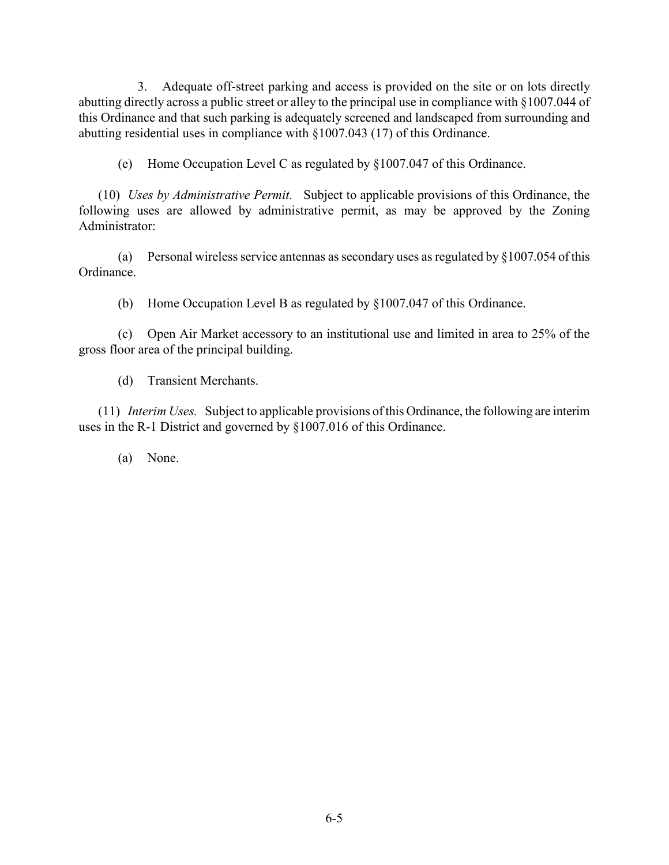3. Adequate off-street parking and access is provided on the site or on lots directly abutting directly across a public street or alley to the principal use in compliance with §1007.044 of this Ordinance and that such parking is adequately screened and landscaped from surrounding and abutting residential uses in compliance with §1007.043 (17) of this Ordinance.

(e) Home Occupation Level C as regulated by §1007.047 of this Ordinance.

(10) *Uses by Administrative Permit.* Subject to applicable provisions of this Ordinance, the following uses are allowed by administrative permit, as may be approved by the Zoning Administrator:

(a) Personal wireless service antennas as secondary uses as regulated by §1007.054 of this Ordinance.

(b) Home Occupation Level B as regulated by §1007.047 of this Ordinance.

(c) Open Air Market accessory to an institutional use and limited in area to 25% of the gross floor area of the principal building.

(d) Transient Merchants.

(11) *Interim Uses.* Subject to applicable provisions of this Ordinance, the following are interim uses in the R-1 District and governed by §1007.016 of this Ordinance.

(a) None.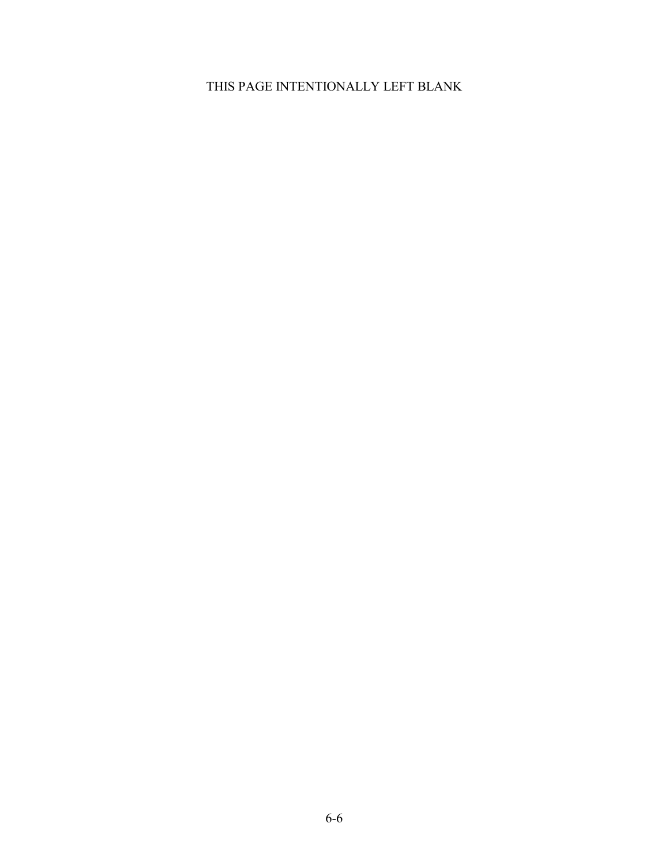# THIS PAGE INTENTIONALLY LEFT BLANK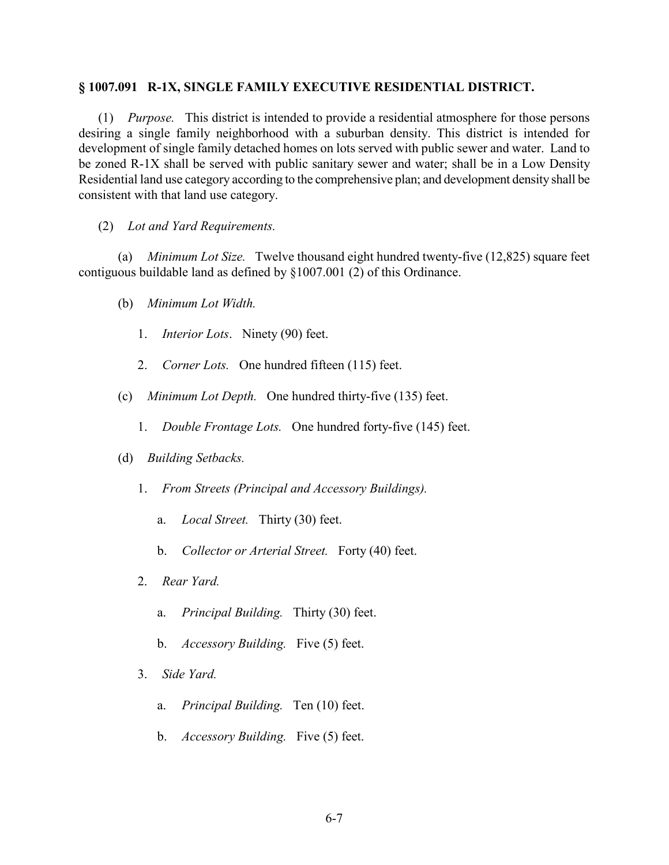### **§ 1007.091 R-1X, SINGLE FAMILY EXECUTIVE RESIDENTIAL DISTRICT.**

(1) *Purpose.* This district is intended to provide a residential atmosphere for those persons desiring a single family neighborhood with a suburban density. This district is intended for development of single family detached homes on lots served with public sewer and water. Land to be zoned R-1X shall be served with public sanitary sewer and water; shall be in a Low Density Residential land use category according to the comprehensive plan; and development density shall be consistent with that land use category.

## (2) *Lot and Yard Requirements.*

(a) *Minimum Lot Size.* Twelve thousand eight hundred twenty-five (12,825) square feet contiguous buildable land as defined by §1007.001 (2) of this Ordinance.

- (b) *Minimum Lot Width.* 
	- 1. *Interior Lots*. Ninety (90) feet.
	- 2. *Corner Lots.* One hundred fifteen (115) feet.
- (c) *Minimum Lot Depth.* One hundred thirty-five (135) feet.
	- 1. *Double Frontage Lots.* One hundred forty-five (145) feet.
- (d) *Building Setbacks.* 
	- 1. *From Streets (Principal and Accessory Buildings).*
		- a. *Local Street.* Thirty (30) feet.
		- b. *Collector or Arterial Street.* Forty (40) feet.
	- 2. *Rear Yard.*
		- a. *Principal Building.* Thirty (30) feet.
		- b. *Accessory Building.* Five (5) feet.
	- 3. *Side Yard.*
		- a. *Principal Building.* Ten (10) feet.
		- b. *Accessory Building.* Five (5) feet.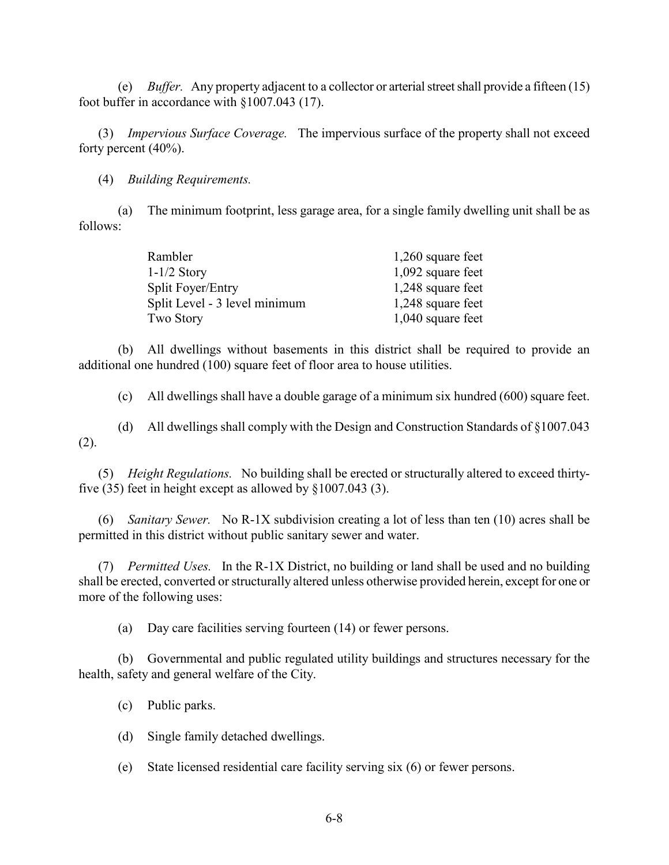(e) *Buffer.* Any property adjacent to a collector or arterial street shall provide a fifteen (15) foot buffer in accordance with §1007.043 (17).

(3) *Impervious Surface Coverage.* The impervious surface of the property shall not exceed forty percent (40%).

(4) *Building Requirements.*

(a) The minimum footprint, less garage area, for a single family dwelling unit shall be as follows:

| $1,260$ square feet |
|---------------------|
| $1,092$ square feet |
| 1,248 square feet   |
| 1,248 square feet   |
| $1,040$ square feet |
|                     |

(b) All dwellings without basements in this district shall be required to provide an additional one hundred (100) square feet of floor area to house utilities.

(c) All dwellings shall have a double garage of a minimum six hundred (600) square feet.

(d) All dwellings shall comply with the Design and Construction Standards of §1007.043 (2).

(5) *Height Regulations.* No building shall be erected or structurally altered to exceed thirtyfive (35) feet in height except as allowed by §1007.043 (3).

(6) *Sanitary Sewer.* No R-1X subdivision creating a lot of less than ten (10) acres shall be permitted in this district without public sanitary sewer and water.

(7) *Permitted Uses.* In the R-1X District, no building or land shall be used and no building shall be erected, converted or structurally altered unless otherwise provided herein, except for one or more of the following uses:

(a) Day care facilities serving fourteen (14) or fewer persons.

(b) Governmental and public regulated utility buildings and structures necessary for the health, safety and general welfare of the City.

(c) Public parks.

(d) Single family detached dwellings.

(e) State licensed residential care facility serving six (6) or fewer persons.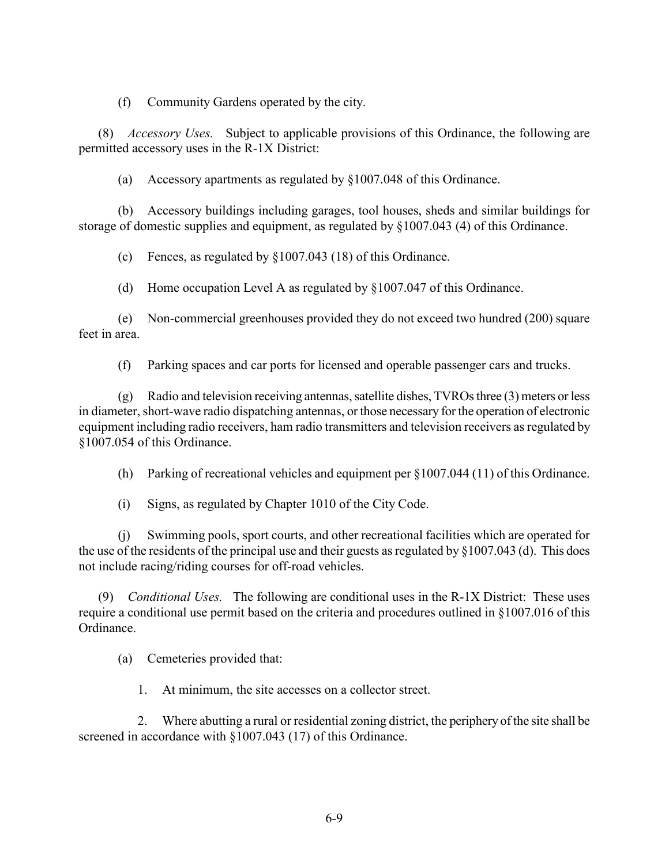(f) Community Gardens operated by the city.

(8) *Accessory Uses.*Subject to applicable provisions of this Ordinance, the following are permitted accessory uses in the R-1X District:

(a) Accessory apartments as regulated by §1007.048 of this Ordinance.

(b) Accessory buildings including garages, tool houses, sheds and similar buildings for storage of domestic supplies and equipment, as regulated by §1007.043 (4) of this Ordinance.

(c) Fences, as regulated by §1007.043 (18) of this Ordinance.

(d) Home occupation Level A as regulated by §1007.047 of this Ordinance.

(e) Non-commercial greenhouses provided they do not exceed two hundred (200) square feet in area.

(f) Parking spaces and car ports for licensed and operable passenger cars and trucks.

(g) Radio and television receiving antennas, satellite dishes, TVROs three (3) meters or less in diameter, short-wave radio dispatching antennas, or those necessary for the operation of electronic equipment including radio receivers, ham radio transmitters and television receivers as regulated by §1007.054 of this Ordinance.

(h) Parking of recreational vehicles and equipment per §1007.044 (11) of this Ordinance.

(i) Signs, as regulated by Chapter 1010 of the City Code.

(j) Swimming pools, sport courts, and other recreational facilities which are operated for the use of the residents of the principal use and their guests as regulated by §1007.043 (d). This does not include racing/riding courses for off-road vehicles.

(9) *Conditional Uses.* The following are conditional uses in the R-1X District: These uses require a conditional use permit based on the criteria and procedures outlined in §1007.016 of this Ordinance.

(a) Cemeteries provided that:

1. At minimum, the site accesses on a collector street.

2. Where abutting a rural or residential zoning district, the periphery of the site shall be screened in accordance with §1007.043 (17) of this Ordinance.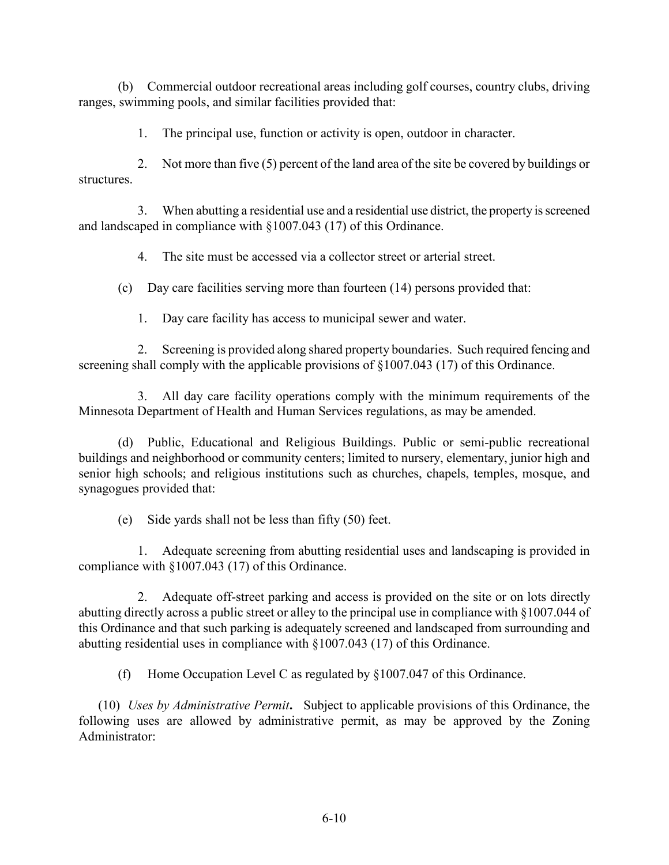(b) Commercial outdoor recreational areas including golf courses, country clubs, driving ranges, swimming pools, and similar facilities provided that:

1. The principal use, function or activity is open, outdoor in character.

2. Not more than five (5) percent of the land area of the site be covered by buildings or structures.

3. When abutting a residential use and a residential use district, the property is screened and landscaped in compliance with §1007.043 (17) of this Ordinance.

4. The site must be accessed via a collector street or arterial street.

(c) Day care facilities serving more than fourteen (14) persons provided that:

1. Day care facility has access to municipal sewer and water.

2. Screening is provided along shared property boundaries. Such required fencing and screening shall comply with the applicable provisions of §1007.043 (17) of this Ordinance.

3. All day care facility operations comply with the minimum requirements of the Minnesota Department of Health and Human Services regulations, as may be amended.

(d) Public, Educational and Religious Buildings. Public or semi-public recreational buildings and neighborhood or community centers; limited to nursery, elementary, junior high and senior high schools; and religious institutions such as churches, chapels, temples, mosque, and synagogues provided that:

(e) Side yards shall not be less than fifty (50) feet.

1. Adequate screening from abutting residential uses and landscaping is provided in compliance with §1007.043 (17) of this Ordinance.

2. Adequate off-street parking and access is provided on the site or on lots directly abutting directly across a public street or alley to the principal use in compliance with §1007.044 of this Ordinance and that such parking is adequately screened and landscaped from surrounding and abutting residential uses in compliance with §1007.043 (17) of this Ordinance.

(f) Home Occupation Level C as regulated by §1007.047 of this Ordinance.

(10) *Uses by Administrative Permit***.** Subject to applicable provisions of this Ordinance, the following uses are allowed by administrative permit, as may be approved by the Zoning Administrator: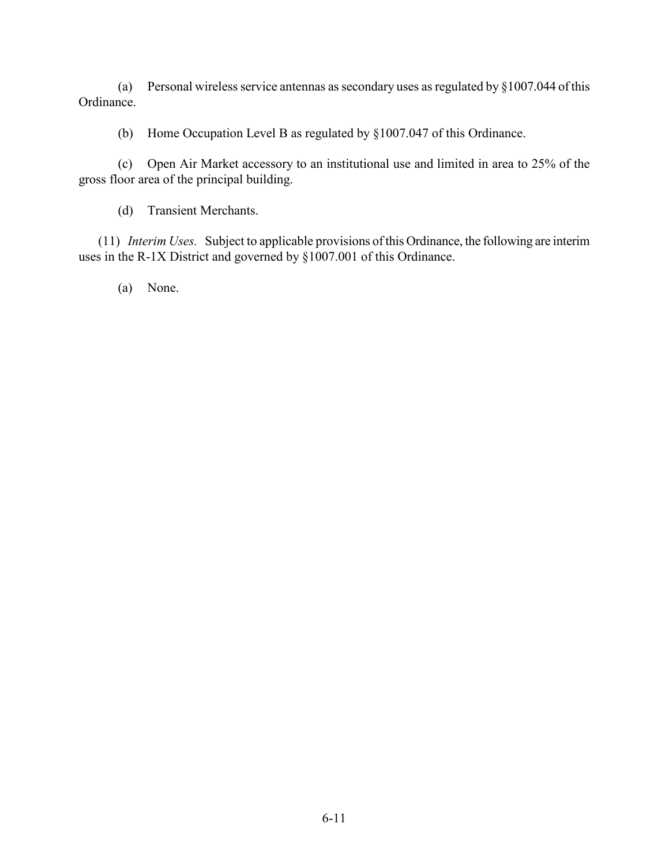(a) Personal wireless service antennas as secondary uses as regulated by §1007.044 of this Ordinance.

(b) Home Occupation Level B as regulated by §1007.047 of this Ordinance.

(c) Open Air Market accessory to an institutional use and limited in area to 25% of the gross floor area of the principal building.

(d) Transient Merchants.

(11) *Interim Uses.* Subject to applicable provisions of this Ordinance, the following are interim uses in the R-1X District and governed by §1007.001 of this Ordinance.

(a) None.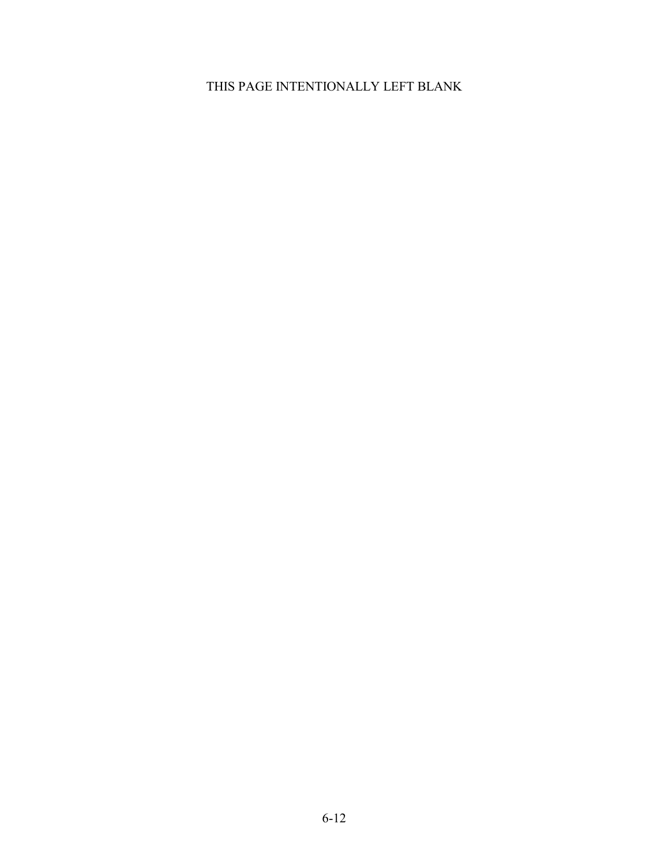# THIS PAGE INTENTIONALLY LEFT BLANK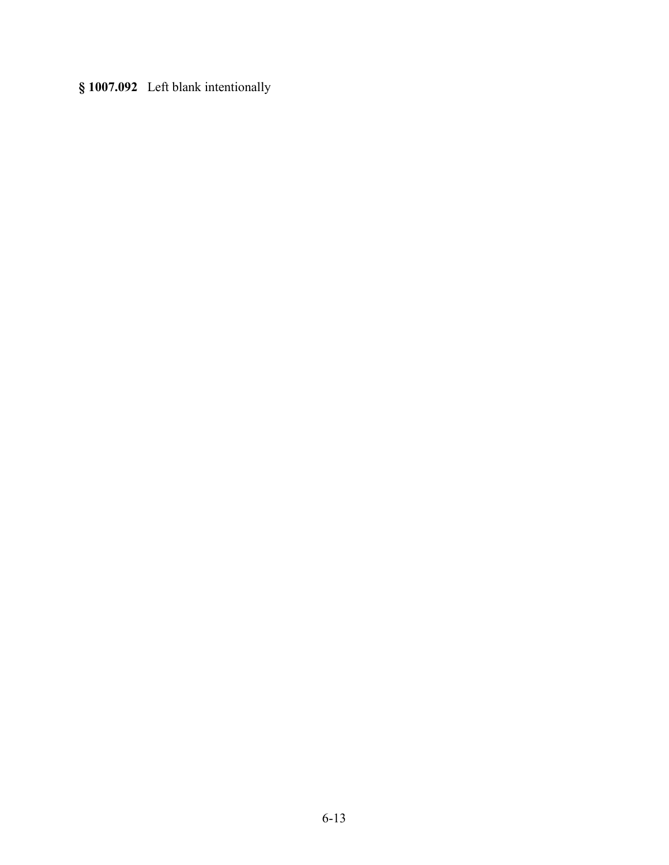**§ 1007.092** Left blank intentionally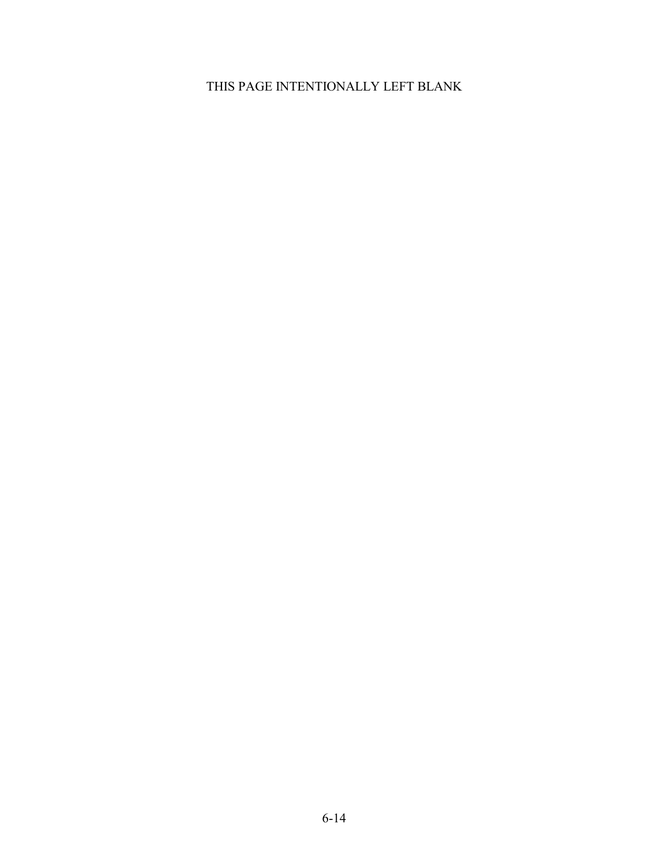# THIS PAGE INTENTIONALLY LEFT BLANK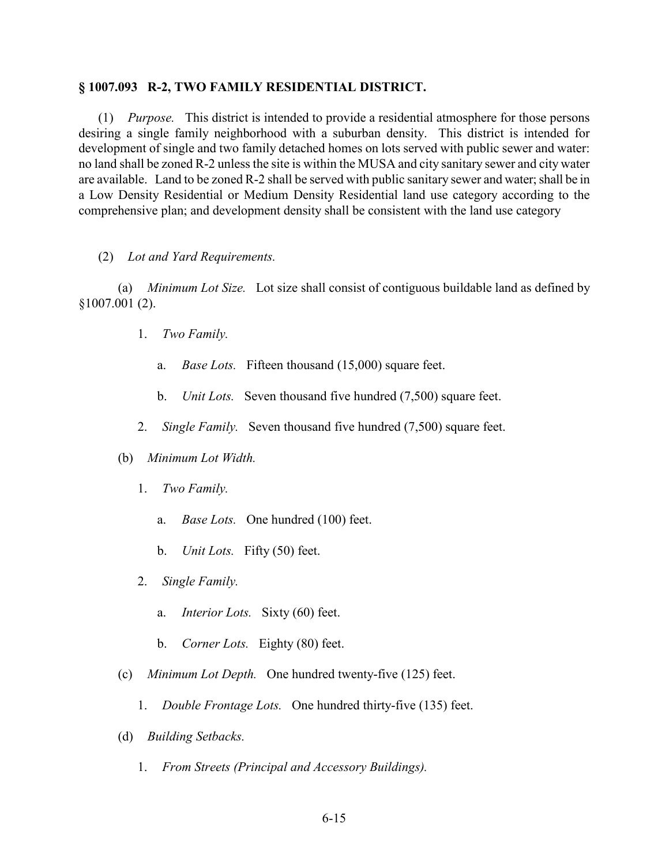#### **§ 1007.093 R-2, TWO FAMILY RESIDENTIAL DISTRICT.**

(1) *Purpose.* This district is intended to provide a residential atmosphere for those persons desiring a single family neighborhood with a suburban density. This district is intended for development of single and two family detached homes on lots served with public sewer and water: no land shall be zoned R-2 unless the site is within the MUSA and city sanitary sewer and city water are available. Land to be zoned R-2 shall be served with public sanitary sewer and water; shall be in a Low Density Residential or Medium Density Residential land use category according to the comprehensive plan; and development density shall be consistent with the land use category

## (2) *Lot and Yard Requirements.*

(a) *Minimum Lot Size.* Lot size shall consist of contiguous buildable land as defined by §1007.001 (2).

- 1. *Two Family.* 
	- a. *Base Lots.* Fifteen thousand (15,000) square feet.
	- b. *Unit Lots.* Seven thousand five hundred (7,500) square feet.
- 2. *Single Family.* Seven thousand five hundred (7,500) square feet.
- (b) *Minimum Lot Width.*
	- 1. *Two Family.* 
		- a. *Base Lots.* One hundred (100) feet.
		- b. *Unit Lots.* Fifty (50) feet.
	- 2. *Single Family.* 
		- a. *Interior Lots.* Sixty (60) feet.
		- b. *Corner Lots.* Eighty (80) feet.
- (c) *Minimum Lot Depth.* One hundred twenty-five (125) feet.
	- 1. *Double Frontage Lots.* One hundred thirty-five (135) feet.
- (d) *Building Setbacks.* 
	- 1. *From Streets (Principal and Accessory Buildings).*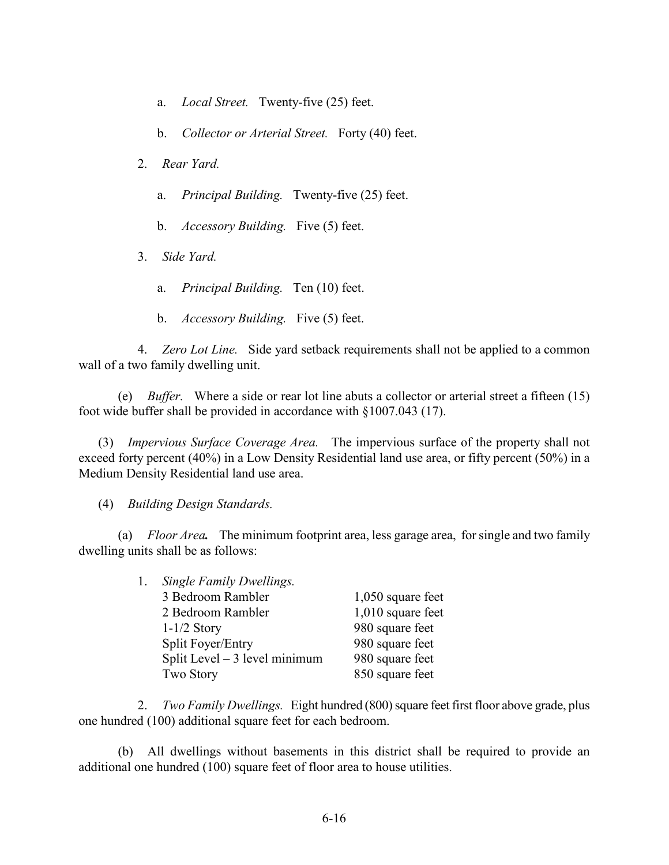- a. *Local Street.* Twenty-five (25) feet.
- b. *Collector or Arterial Street.* Forty (40) feet.
- 2. *Rear Yard.*
	- a. *Principal Building.* Twenty-five (25) feet.
	- b. *Accessory Building.* Five (5) feet.
- 3. *Side Yard.*
	- a. *Principal Building.* Ten (10) feet.
	- b. *Accessory Building.* Five (5) feet.

4. *Zero Lot Line.* Side yard setback requirements shall not be applied to a common wall of a two family dwelling unit.

(e) *Buffer.* Where a side or rear lot line abuts a collector or arterial street a fifteen (15) foot wide buffer shall be provided in accordance with §1007.043 (17).

(3) *Impervious Surface Coverage Area.* The impervious surface of the property shall not exceed forty percent (40%) in a Low Density Residential land use area, or fifty percent (50%) in a Medium Density Residential land use area.

(4) *Building Design Standards.* 

(a) *Floor Area.* The minimum footprint area, less garage area, for single and two family dwelling units shall be as follows:

| 1. | Single Family Dwellings.       |                     |
|----|--------------------------------|---------------------|
|    | 3 Bedroom Rambler              | $1,050$ square feet |
|    | 2 Bedroom Rambler              | $1,010$ square feet |
|    | $1-1/2$ Story                  | 980 square feet     |
|    | Split Foyer/Entry              | 980 square feet     |
|    | Split Level $-3$ level minimum | 980 square feet     |
|    | Two Story                      | 850 square feet     |

2. *Two Family Dwellings.* Eight hundred (800) square feet first floor above grade, plus one hundred (100) additional square feet for each bedroom.

(b) All dwellings without basements in this district shall be required to provide an additional one hundred (100) square feet of floor area to house utilities.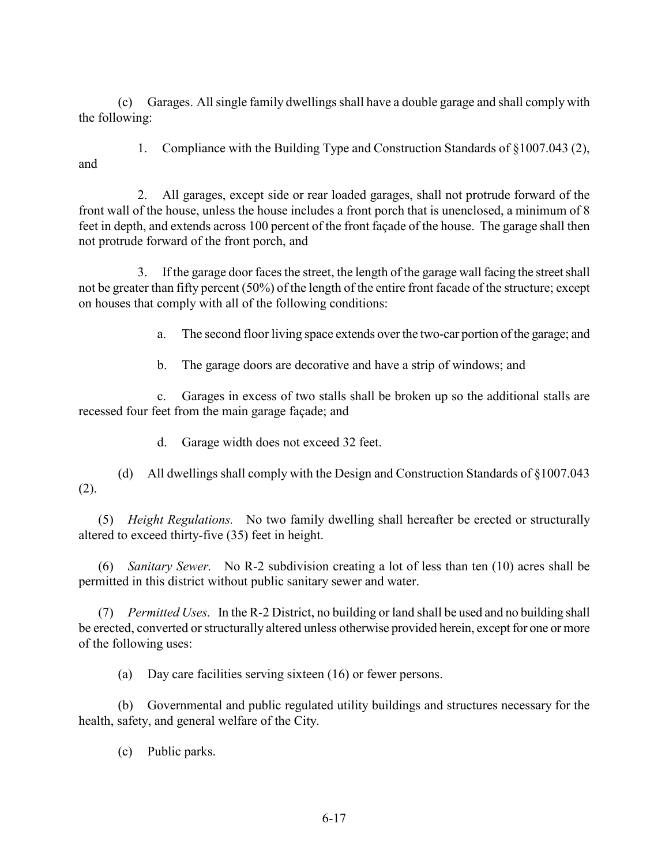(c) Garages. All single family dwellings shall have a double garage and shall comply with the following:

- and
- 1. Compliance with the Building Type and Construction Standards of §1007.043 (2),

2. All garages, except side or rear loaded garages, shall not protrude forward of the front wall of the house, unless the house includes a front porch that is unenclosed, a minimum of 8 feet in depth, and extends across 100 percent of the front façade of the house. The garage shall then not protrude forward of the front porch, and

3. If the garage door faces the street, the length of the garage wall facing the street shall not be greater than fifty percent (50%) of the length of the entire front facade of the structure; except on houses that comply with all of the following conditions:

a. The second floor living space extends over the two-car portion of the garage; and

b. The garage doors are decorative and have a strip of windows; and

c. Garages in excess of two stalls shall be broken up so the additional stalls are recessed four feet from the main garage façade; and

d. Garage width does not exceed 32 feet.

(d) All dwellings shall comply with the Design and Construction Standards of §1007.043 (2).

(5) *Height Regulations.* No two family dwelling shall hereafter be erected or structurally altered to exceed thirty-five (35) feet in height.

(6) *Sanitary Sewer.* No R-2 subdivision creating a lot of less than ten (10) acres shall be permitted in this district without public sanitary sewer and water.

(7) *Permitted Uses.* In the R-2 District, no building or land shall be used and no building shall be erected, converted or structurally altered unless otherwise provided herein, except for one or more of the following uses:

(a) Day care facilities serving sixteen (16) or fewer persons.

(b) Governmental and public regulated utility buildings and structures necessary for the health, safety, and general welfare of the City.

(c) Public parks.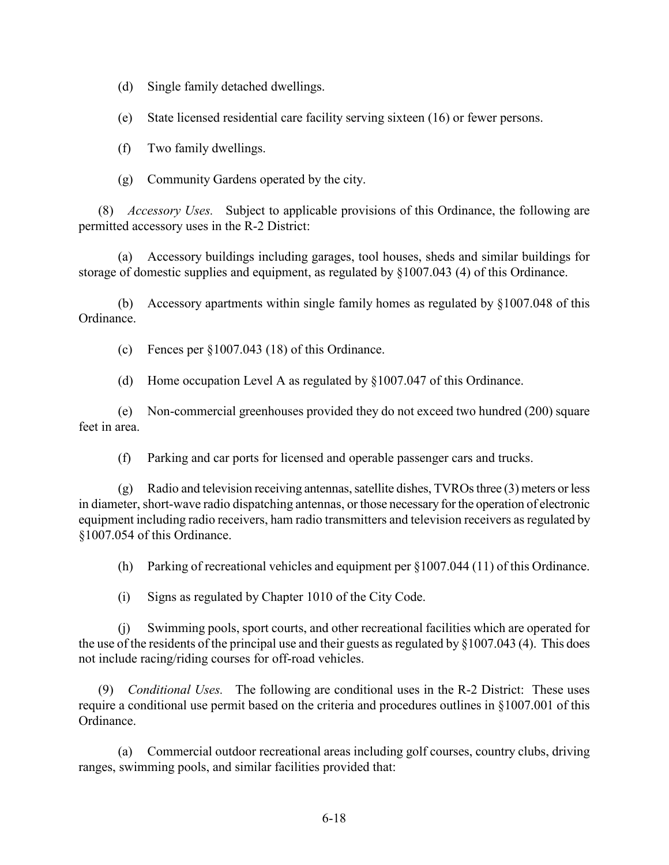(d) Single family detached dwellings.

(e) State licensed residential care facility serving sixteen (16) or fewer persons.

(f) Two family dwellings.

(g) Community Gardens operated by the city.

(8) *Accessory Uses.* Subject to applicable provisions of this Ordinance, the following are permitted accessory uses in the R-2 District:

(a) Accessory buildings including garages, tool houses, sheds and similar buildings for storage of domestic supplies and equipment, as regulated by §1007.043 (4) of this Ordinance.

(b) Accessory apartments within single family homes as regulated by §1007.048 of this Ordinance.

(c) Fences per §1007.043 (18) of this Ordinance.

(d) Home occupation Level A as regulated by §1007.047 of this Ordinance.

(e) Non-commercial greenhouses provided they do not exceed two hundred (200) square feet in area.

(f) Parking and car ports for licensed and operable passenger cars and trucks.

 $(g)$  Radio and television receiving antennas, satellite dishes, TVROs three (3) meters or less in diameter, short-wave radio dispatching antennas, or those necessary for the operation of electronic equipment including radio receivers, ham radio transmitters and television receivers as regulated by §1007.054 of this Ordinance.

(h) Parking of recreational vehicles and equipment per §1007.044 (11) of this Ordinance.

(i) Signs as regulated by Chapter 1010 of the City Code.

(j) Swimming pools, sport courts, and other recreational facilities which are operated for the use of the residents of the principal use and their guests as regulated by §1007.043 (4). This does not include racing/riding courses for off-road vehicles.

(9) *Conditional Uses.* The following are conditional uses in the R-2 District: These uses require a conditional use permit based on the criteria and procedures outlines in §1007.001 of this Ordinance.

(a) Commercial outdoor recreational areas including golf courses, country clubs, driving ranges, swimming pools, and similar facilities provided that: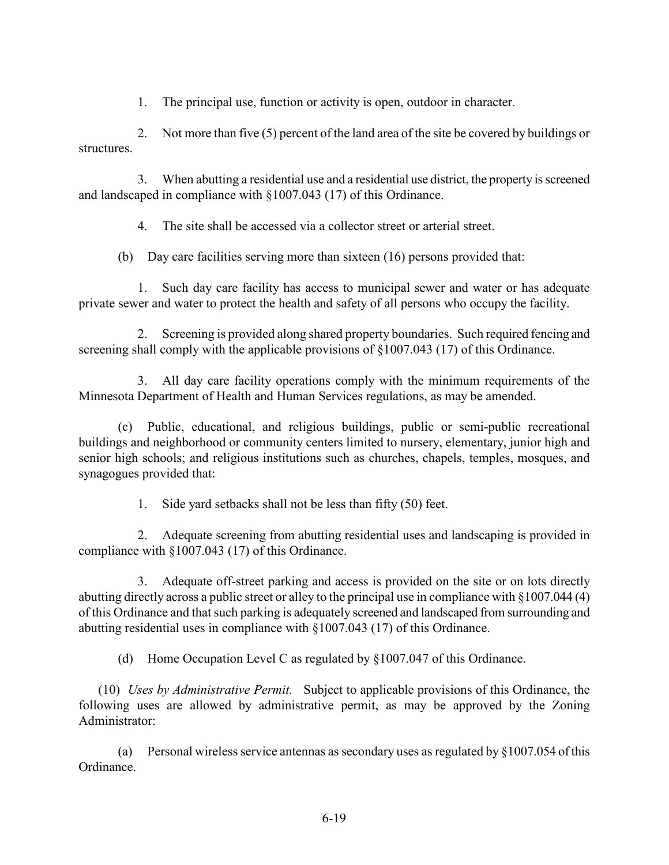1. The principal use, function or activity is open, outdoor in character.

2. Not more than five (5) percent of the land area of the site be covered by buildings or structures.

3. When abutting a residential use and a residential use district, the property is screened and landscaped in compliance with §1007.043 (17) of this Ordinance.

4. The site shall be accessed via a collector street or arterial street.

(b) Day care facilities serving more than sixteen (16) persons provided that:

1. Such day care facility has access to municipal sewer and water or has adequate private sewer and water to protect the health and safety of all persons who occupy the facility.

2. Screening is provided along shared property boundaries. Such required fencing and screening shall comply with the applicable provisions of §1007.043 (17) of this Ordinance.

3. All day care facility operations comply with the minimum requirements of the Minnesota Department of Health and Human Services regulations, as may be amended.

(c) Public, educational, and religious buildings, public or semi-public recreational buildings and neighborhood or community centers limited to nursery, elementary, junior high and senior high schools; and religious institutions such as churches, chapels, temples, mosques, and synagogues provided that:

1. Side yard setbacks shall not be less than fifty (50) feet.

2. Adequate screening from abutting residential uses and landscaping is provided in compliance with §1007.043 (17) of this Ordinance.

3. Adequate off-street parking and access is provided on the site or on lots directly abutting directly across a public street or alley to the principal use in compliance with §1007.044 (4) of this Ordinance and that such parking is adequately screened and landscaped from surrounding and abutting residential uses in compliance with §1007.043 (17) of this Ordinance.

(d) Home Occupation Level C as regulated by §1007.047 of this Ordinance.

(10) *Uses by Administrative Permit.* Subject to applicable provisions of this Ordinance, the following uses are allowed by administrative permit, as may be approved by the Zoning Administrator:

(a) Personal wireless service antennas as secondary uses as regulated by §1007.054 of this Ordinance.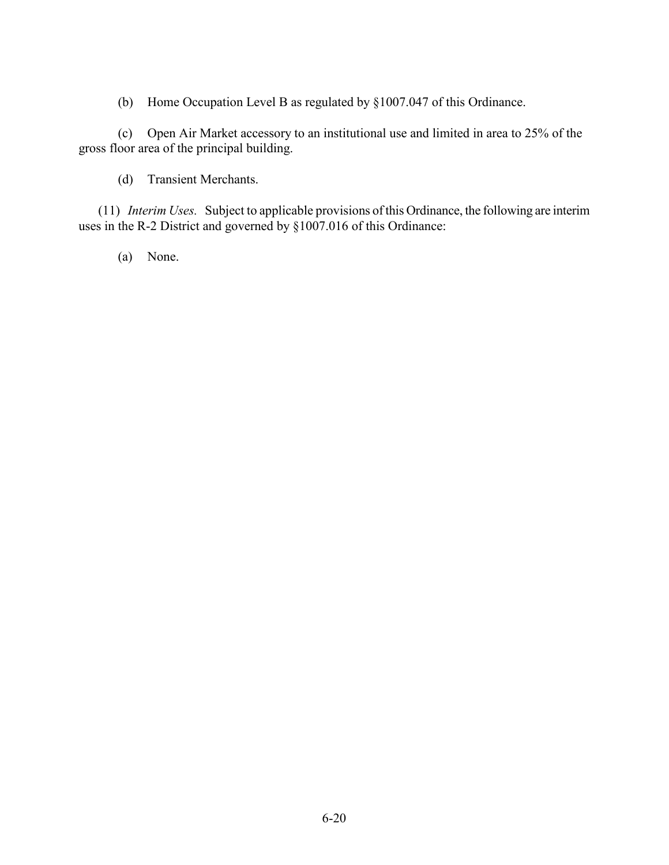(b) Home Occupation Level B as regulated by §1007.047 of this Ordinance.

(c) Open Air Market accessory to an institutional use and limited in area to 25% of the gross floor area of the principal building.

(d) Transient Merchants.

(11) *Interim Uses.* Subject to applicable provisions of this Ordinance, the following are interim uses in the R-2 District and governed by §1007.016 of this Ordinance:

(a) None.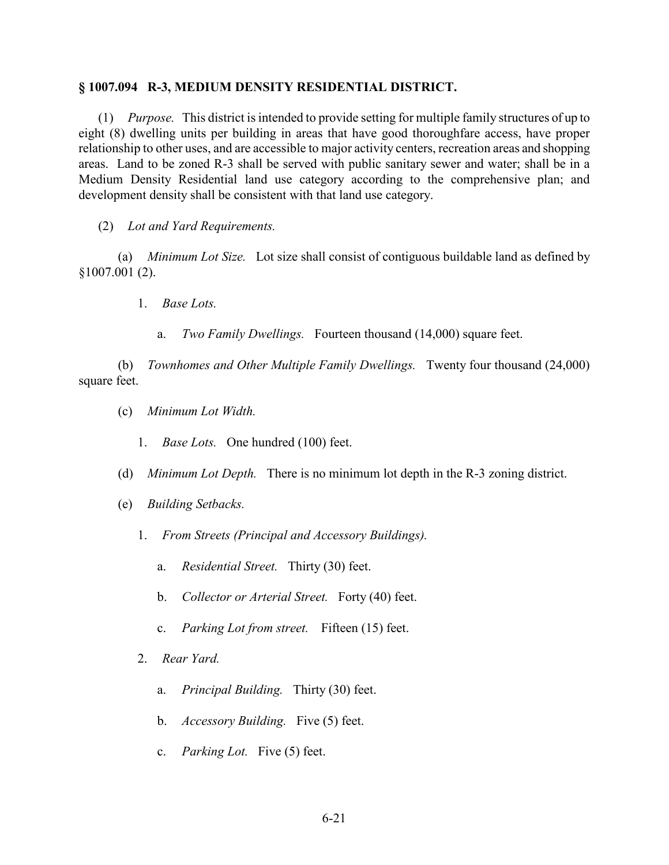#### **§ 1007.094 R-3, MEDIUM DENSITY RESIDENTIAL DISTRICT.**

(1) *Purpose.* This district is intended to provide setting for multiple family structures of up to eight (8) dwelling units per building in areas that have good thoroughfare access, have proper relationship to other uses, and are accessible to major activity centers, recreation areas and shopping areas. Land to be zoned R-3 shall be served with public sanitary sewer and water; shall be in a Medium Density Residential land use category according to the comprehensive plan; and development density shall be consistent with that land use category.

(2) *Lot and Yard Requirements.*

(a) *Minimum Lot Size.* Lot size shall consist of contiguous buildable land as defined by §1007.001 (2).

1. *Base Lots.*

a. *Two Family Dwellings.* Fourteen thousand (14,000) square feet.

(b) *Townhomes and Other Multiple Family Dwellings.* Twenty four thousand (24,000) square feet.

- (c) *Minimum Lot Width.* 
	- 1. *Base Lots.* One hundred (100) feet.
- (d) *Minimum Lot Depth.* There is no minimum lot depth in the R-3 zoning district.
- (e) *Building Setbacks.* 
	- 1. *From Streets (Principal and Accessory Buildings).*
		- a. *Residential Street.* Thirty (30) feet.
		- b. *Collector or Arterial Street.* Forty (40) feet.
		- c. *Parking Lot from street.* Fifteen (15) feet.
	- 2. *Rear Yard.*
		- a. *Principal Building.* Thirty (30) feet.
		- b. *Accessory Building.* Five (5) feet.
		- c. *Parking Lot.* Five (5) feet.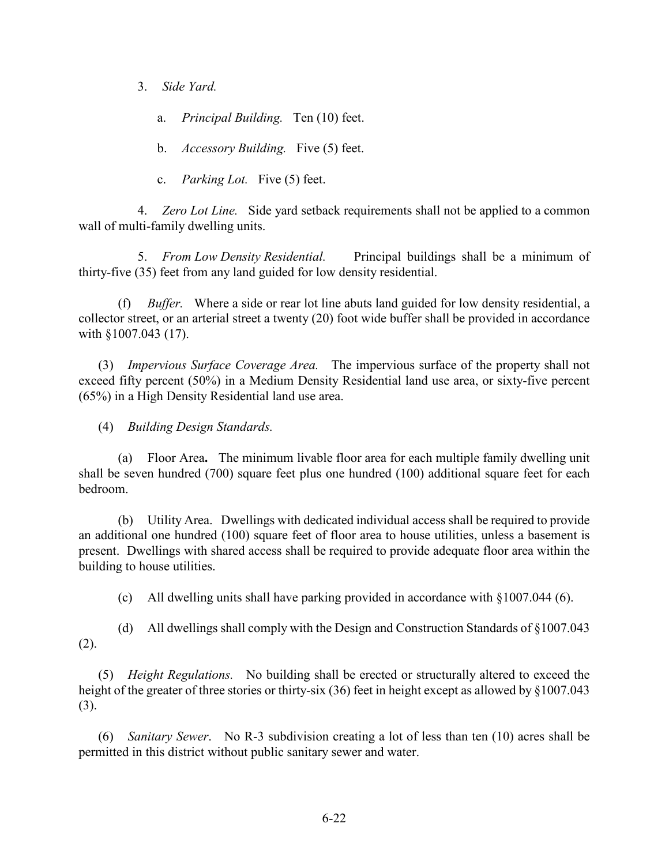3. *Side Yard.*

a. *Principal Building.* Ten (10) feet.

b. *Accessory Building.* Five (5) feet.

c. *Parking Lot.* Five (5) feet.

4. *Zero Lot Line.* Side yard setback requirements shall not be applied to a common wall of multi-family dwelling units.

5. *From Low Density Residential.* Principal buildings shall be a minimum of thirty-five (35) feet from any land guided for low density residential.

(f) *Buffer.* Where a side or rear lot line abuts land guided for low density residential, a collector street, or an arterial street a twenty (20) foot wide buffer shall be provided in accordance with §1007.043 (17).

(3) *Impervious Surface Coverage Area.* The impervious surface of the property shall not exceed fifty percent (50%) in a Medium Density Residential land use area, or sixty-five percent (65%) in a High Density Residential land use area.

(4) *Building Design Standards.* 

(a) Floor Area**.** The minimum livable floor area for each multiple family dwelling unit shall be seven hundred (700) square feet plus one hundred (100) additional square feet for each bedroom.

(b) Utility Area. Dwellings with dedicated individual access shall be required to provide an additional one hundred (100) square feet of floor area to house utilities, unless a basement is present. Dwellings with shared access shall be required to provide adequate floor area within the building to house utilities.

(c) All dwelling units shall have parking provided in accordance with §1007.044 (6).

(d) All dwellings shall comply with the Design and Construction Standards of §1007.043 (2).

(5) *Height Regulations.* No building shall be erected or structurally altered to exceed the height of the greater of three stories or thirty-six (36) feet in height except as allowed by §1007.043 (3).

(6) *Sanitary Sewer*. No R-3 subdivision creating a lot of less than ten (10) acres shall be permitted in this district without public sanitary sewer and water.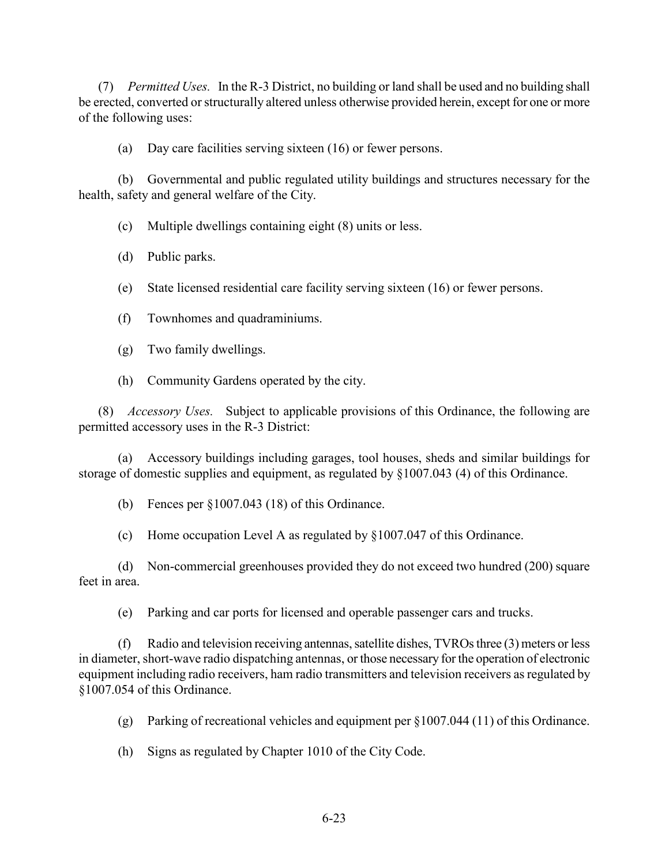(7) *Permitted Uses.* In the R-3 District, no building or land shall be used and no building shall be erected, converted or structurally altered unless otherwise provided herein, except for one or more of the following uses:

(a) Day care facilities serving sixteen (16) or fewer persons.

(b) Governmental and public regulated utility buildings and structures necessary for the health, safety and general welfare of the City.

(c) Multiple dwellings containing eight (8) units or less.

- (d) Public parks.
- (e) State licensed residential care facility serving sixteen (16) or fewer persons.
- (f) Townhomes and quadraminiums.
- (g) Two family dwellings.
- (h) Community Gardens operated by the city.

(8) *Accessory Uses.* Subject to applicable provisions of this Ordinance, the following are permitted accessory uses in the R-3 District:

Accessory buildings including garages, tool houses, sheds and similar buildings for storage of domestic supplies and equipment, as regulated by §1007.043 (4) of this Ordinance.

(b) Fences per §1007.043 (18) of this Ordinance.

(c) Home occupation Level A as regulated by §1007.047 of this Ordinance.

(d) Non-commercial greenhouses provided they do not exceed two hundred (200) square feet in area.

(e) Parking and car ports for licensed and operable passenger cars and trucks.

(f) Radio and television receiving antennas, satellite dishes, TVROs three (3) meters or less in diameter, short-wave radio dispatching antennas, or those necessary for the operation of electronic equipment including radio receivers, ham radio transmitters and television receivers as regulated by §1007.054 of this Ordinance.

(g) Parking of recreational vehicles and equipment per §1007.044 (11) of this Ordinance.

(h) Signs as regulated by Chapter 1010 of the City Code.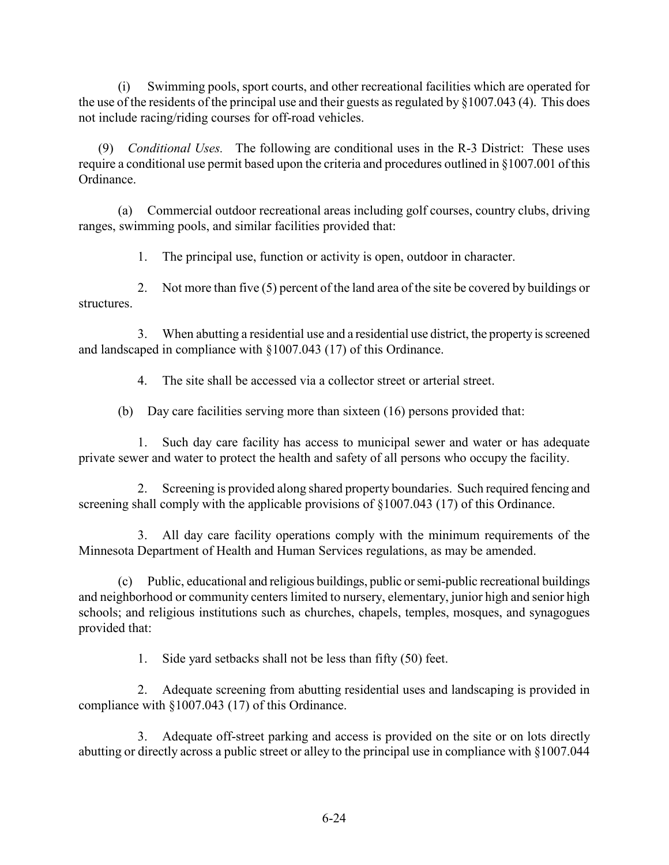(i) Swimming pools, sport courts, and other recreational facilities which are operated for the use of the residents of the principal use and their guests as regulated by §1007.043 (4). This does not include racing/riding courses for off-road vehicles.

(9) *Conditional Uses.* The following are conditional uses in the R-3 District: These uses require a conditional use permit based upon the criteria and procedures outlined in §1007.001 of this Ordinance.

(a) Commercial outdoor recreational areas including golf courses, country clubs, driving ranges, swimming pools, and similar facilities provided that:

1. The principal use, function or activity is open, outdoor in character.

2. Not more than five (5) percent of the land area of the site be covered by buildings or structures.

3. When abutting a residential use and a residential use district, the property is screened and landscaped in compliance with §1007.043 (17) of this Ordinance.

4. The site shall be accessed via a collector street or arterial street.

(b) Day care facilities serving more than sixteen (16) persons provided that:

1. Such day care facility has access to municipal sewer and water or has adequate private sewer and water to protect the health and safety of all persons who occupy the facility.

2. Screening is provided along shared property boundaries. Such required fencing and screening shall comply with the applicable provisions of §1007.043 (17) of this Ordinance.

3. All day care facility operations comply with the minimum requirements of the Minnesota Department of Health and Human Services regulations, as may be amended.

(c) Public, educational and religious buildings, public or semi-public recreational buildings and neighborhood or community centers limited to nursery, elementary, junior high and senior high schools; and religious institutions such as churches, chapels, temples, mosques, and synagogues provided that:

1. Side yard setbacks shall not be less than fifty (50) feet.

2. Adequate screening from abutting residential uses and landscaping is provided in compliance with §1007.043 (17) of this Ordinance.

3. Adequate off-street parking and access is provided on the site or on lots directly abutting or directly across a public street or alley to the principal use in compliance with §1007.044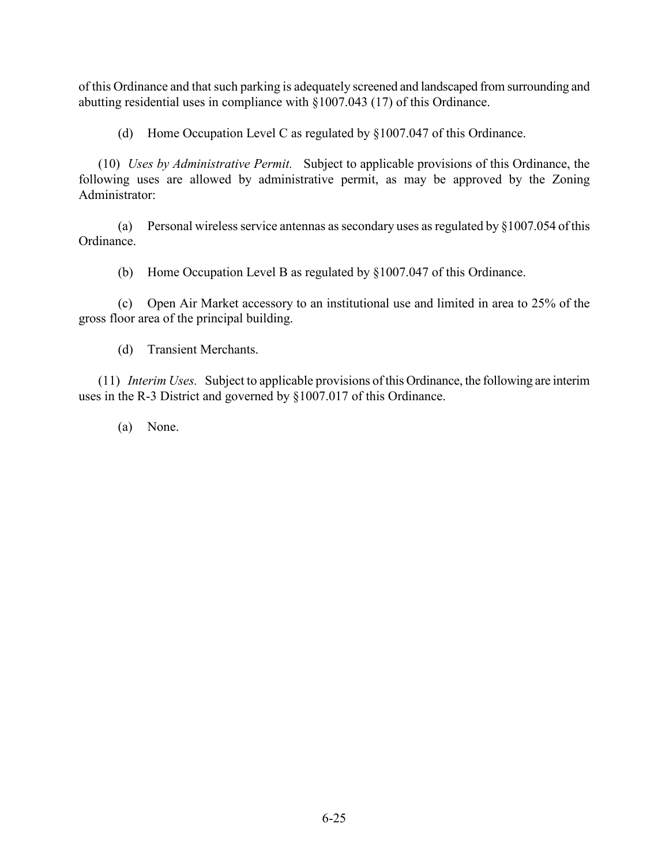of this Ordinance and that such parking is adequately screened and landscaped from surrounding and abutting residential uses in compliance with §1007.043 (17) of this Ordinance.

(d) Home Occupation Level C as regulated by §1007.047 of this Ordinance.

(10) *Uses by Administrative Permit.* Subject to applicable provisions of this Ordinance, the following uses are allowed by administrative permit, as may be approved by the Zoning Administrator:

(a) Personal wireless service antennas as secondary uses as regulated by §1007.054 of this Ordinance.

(b) Home Occupation Level B as regulated by §1007.047 of this Ordinance.

(c) Open Air Market accessory to an institutional use and limited in area to 25% of the gross floor area of the principal building.

(d) Transient Merchants.

(11) *Interim Uses.* Subject to applicable provisions of this Ordinance, the following are interim uses in the R-3 District and governed by §1007.017 of this Ordinance.

(a) None.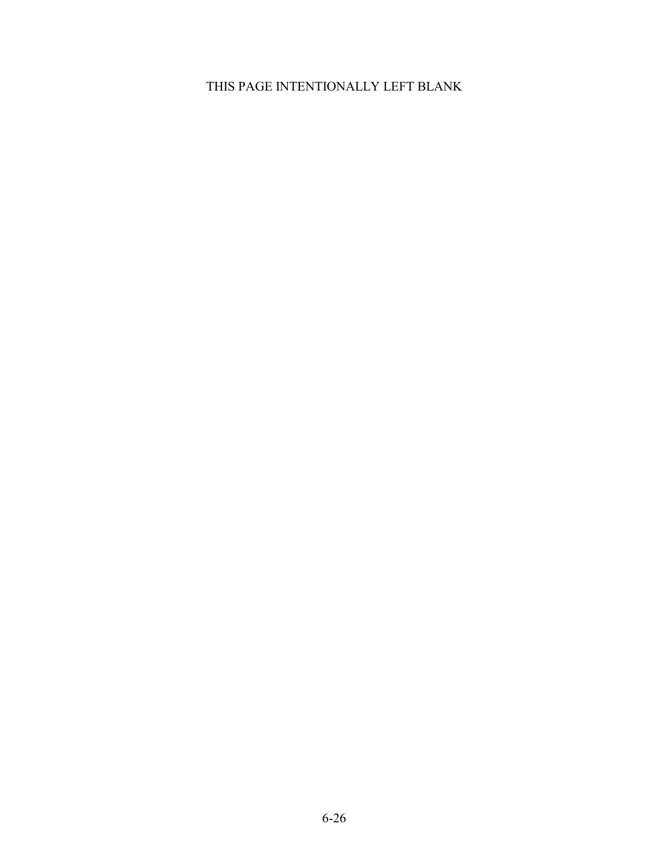# THIS PAGE INTENTIONALLY LEFT BLANK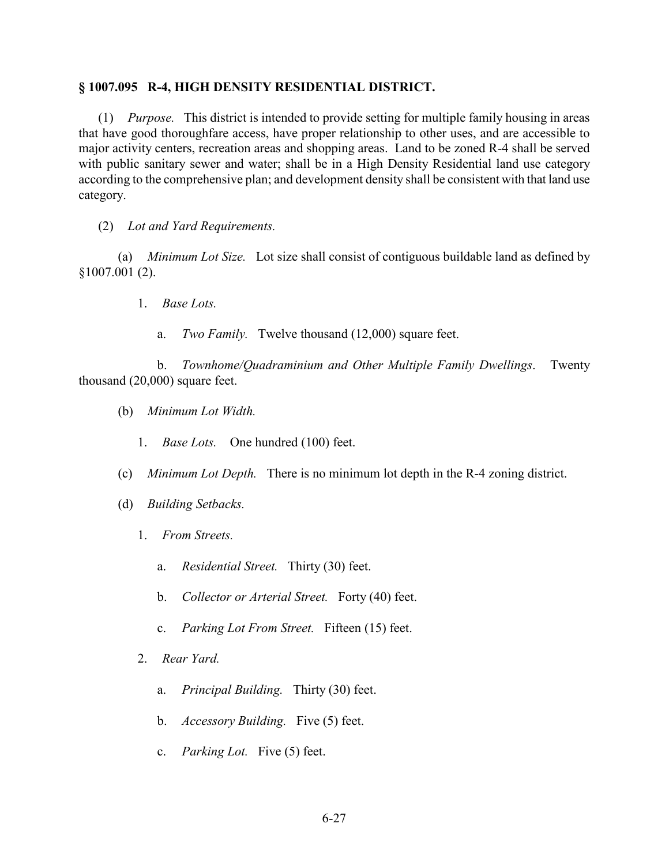## **§ 1007.095 R-4, HIGH DENSITY RESIDENTIAL DISTRICT.**

(1) *Purpose.* This district is intended to provide setting for multiple family housing in areas that have good thoroughfare access, have proper relationship to other uses, and are accessible to major activity centers, recreation areas and shopping areas. Land to be zoned R-4 shall be served with public sanitary sewer and water; shall be in a High Density Residential land use category according to the comprehensive plan; and development density shall be consistent with that land use category.

(2) *Lot and Yard Requirements.*

(a) *Minimum Lot Size.* Lot size shall consist of contiguous buildable land as defined by §1007.001 (2).

- 1. *Base Lots.*
	- a. *Two Family.* Twelve thousand (12,000) square feet.

b. *Townhome/Quadraminium and Other Multiple Family Dwellings*. Twenty thousand (20,000) square feet.

- (b) *Minimum Lot Width.* 
	- 1. *Base Lots.* One hundred (100) feet.
- (c) *Minimum Lot Depth.* There is no minimum lot depth in the R-4 zoning district.
- (d) *Building Setbacks.* 
	- 1. *From Streets.*
		- a. *Residential Street.* Thirty (30) feet.
		- b. *Collector or Arterial Street.* Forty (40) feet.
		- c. *Parking Lot From Street.* Fifteen (15) feet.
	- 2. *Rear Yard.*
		- a. *Principal Building.* Thirty (30) feet.
		- b. *Accessory Building.* Five (5) feet.
		- c. *Parking Lot.* Five (5) feet.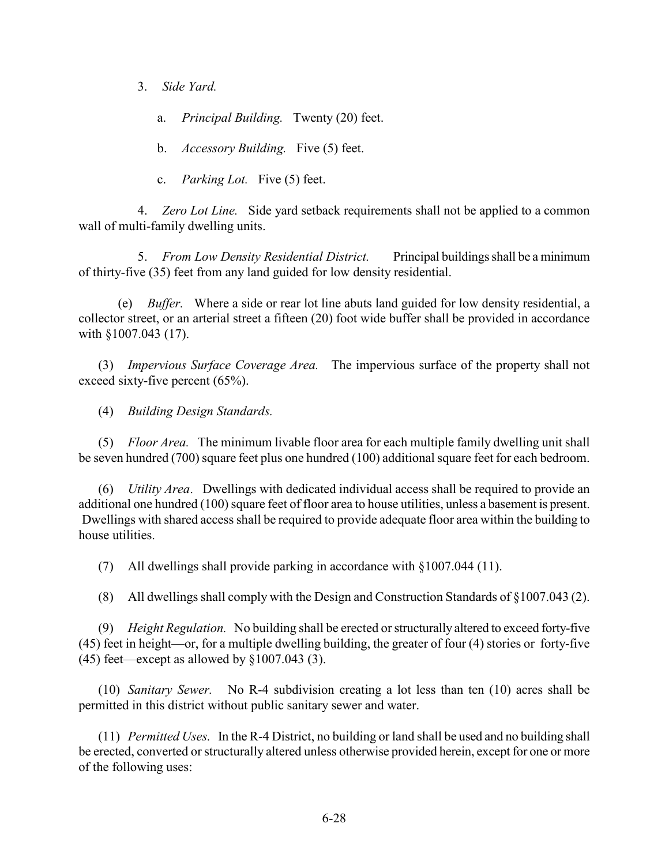3. *Side Yard.*

a. *Principal Building.* Twenty (20) feet.

b. *Accessory Building.* Five (5) feet.

c. *Parking Lot.* Five (5) feet.

4. *Zero Lot Line.* Side yard setback requirements shall not be applied to a common wall of multi-family dwelling units.

5. *From Low Density Residential District.* Principal buildings shall be a minimum of thirty-five (35) feet from any land guided for low density residential.

(e) *Buffer.* Where a side or rear lot line abuts land guided for low density residential, a collector street, or an arterial street a fifteen (20) foot wide buffer shall be provided in accordance with §1007.043 (17).

(3) *Impervious Surface Coverage Area.* The impervious surface of the property shall not exceed sixty-five percent (65%).

(4) *Building Design Standards.* 

(5) *Floor Area.* The minimum livable floor area for each multiple family dwelling unit shall be seven hundred (700) square feet plus one hundred (100) additional square feet for each bedroom.

(6) *Utility Area*. Dwellings with dedicated individual access shall be required to provide an additional one hundred (100) square feet of floor area to house utilities, unless a basement is present. Dwellings with shared access shall be required to provide adequate floor area within the building to house utilities.

(7) All dwellings shall provide parking in accordance with §1007.044 (11).

(8) All dwellings shall comply with the Design and Construction Standards of §1007.043 (2).

(9) *Height Regulation.* No building shall be erected or structurally altered to exceed forty-five (45) feet in height—or, for a multiple dwelling building, the greater of four (4) stories or forty-five (45) feet—except as allowed by  $\S 1007.043$  (3).

(10) *Sanitary Sewer.* No R-4 subdivision creating a lot less than ten (10) acres shall be permitted in this district without public sanitary sewer and water.

(11) *Permitted Uses.* In the R-4 District, no building or land shall be used and no building shall be erected, converted or structurally altered unless otherwise provided herein, except for one or more of the following uses: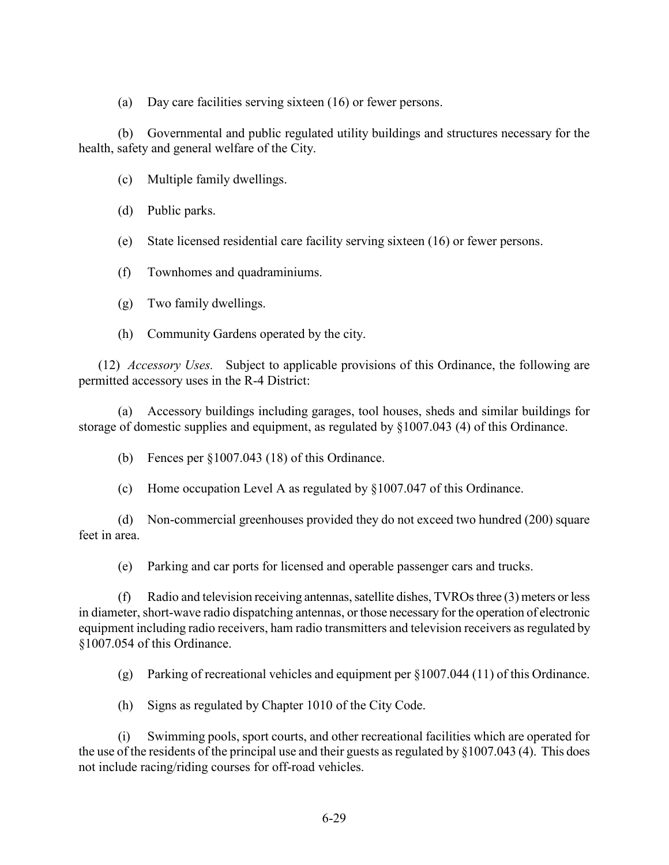(a) Day care facilities serving sixteen (16) or fewer persons.

(b) Governmental and public regulated utility buildings and structures necessary for the health, safety and general welfare of the City.

- (c) Multiple family dwellings.
- (d) Public parks.
- (e) State licensed residential care facility serving sixteen (16) or fewer persons.
- (f) Townhomes and quadraminiums.
- (g) Two family dwellings.
- (h) Community Gardens operated by the city.

(12) *Accessory Uses.* Subject to applicable provisions of this Ordinance, the following are permitted accessory uses in the R-4 District:

(a) Accessory buildings including garages, tool houses, sheds and similar buildings for storage of domestic supplies and equipment, as regulated by §1007.043 (4) of this Ordinance.

(b) Fences per §1007.043 (18) of this Ordinance.

(c) Home occupation Level A as regulated by §1007.047 of this Ordinance.

(d) Non-commercial greenhouses provided they do not exceed two hundred (200) square feet in area.

(e) Parking and car ports for licensed and operable passenger cars and trucks.

(f) Radio and television receiving antennas, satellite dishes, TVROs three (3) meters or less in diameter, short-wave radio dispatching antennas, or those necessary for the operation of electronic equipment including radio receivers, ham radio transmitters and television receivers as regulated by §1007.054 of this Ordinance.

(g) Parking of recreational vehicles and equipment per  $\{1007.044$  (11) of this Ordinance.

(h) Signs as regulated by Chapter 1010 of the City Code.

(i) Swimming pools, sport courts, and other recreational facilities which are operated for the use of the residents of the principal use and their guests as regulated by §1007.043 (4). This does not include racing/riding courses for off-road vehicles.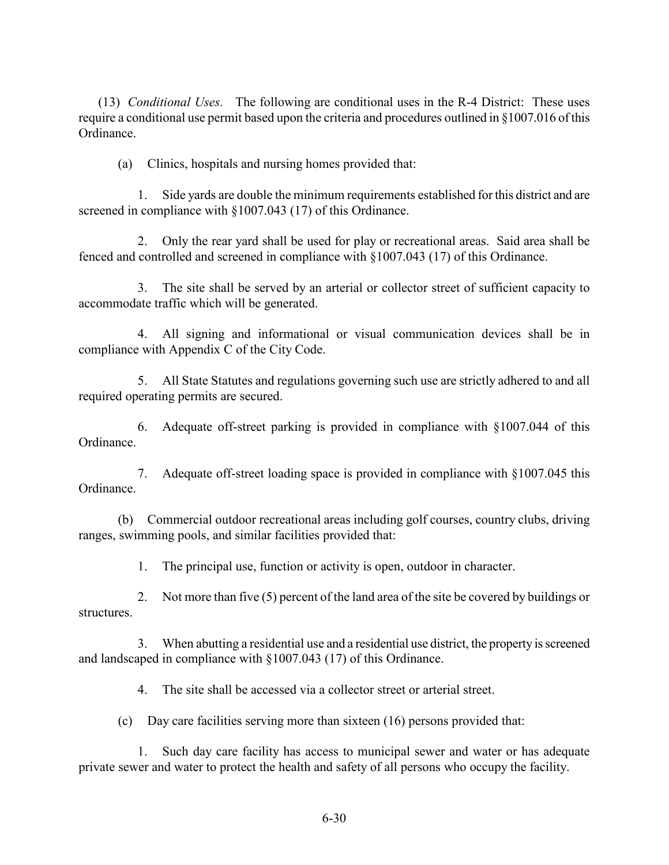(13) *Conditional Uses.* The following are conditional uses in the R-4 District: These uses require a conditional use permit based upon the criteria and procedures outlined in §1007.016 of this Ordinance.

(a) Clinics, hospitals and nursing homes provided that:

1. Side yards are double the minimum requirements established for this district and are screened in compliance with §1007.043 (17) of this Ordinance.

2. Only the rear yard shall be used for play or recreational areas. Said area shall be fenced and controlled and screened in compliance with §1007.043 (17) of this Ordinance.

3. The site shall be served by an arterial or collector street of sufficient capacity to accommodate traffic which will be generated.

4. All signing and informational or visual communication devices shall be in compliance with Appendix C of the City Code.

5. All State Statutes and regulations governing such use are strictly adhered to and all required operating permits are secured.

6. Adequate off-street parking is provided in compliance with §1007.044 of this Ordinance.

7. Adequate off-street loading space is provided in compliance with §1007.045 this Ordinance.

(b) Commercial outdoor recreational areas including golf courses, country clubs, driving ranges, swimming pools, and similar facilities provided that:

1. The principal use, function or activity is open, outdoor in character.

2. Not more than five (5) percent of the land area of the site be covered by buildings or structures.

3. When abutting a residential use and a residential use district, the property is screened and landscaped in compliance with §1007.043 (17) of this Ordinance.

4. The site shall be accessed via a collector street or arterial street.

(c) Day care facilities serving more than sixteen (16) persons provided that:

1. Such day care facility has access to municipal sewer and water or has adequate private sewer and water to protect the health and safety of all persons who occupy the facility.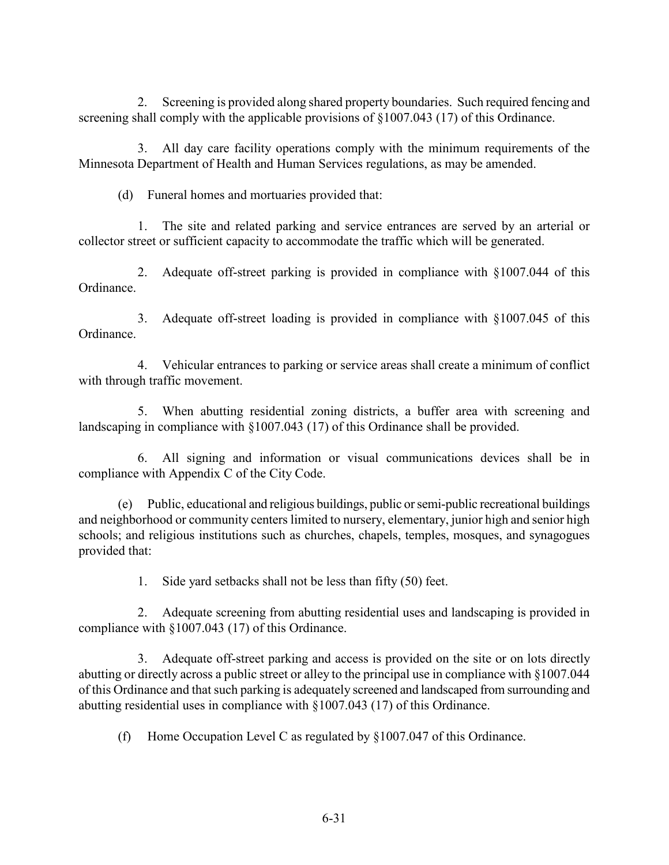2. Screening is provided along shared property boundaries. Such required fencing and screening shall comply with the applicable provisions of §1007.043 (17) of this Ordinance.

3. All day care facility operations comply with the minimum requirements of the Minnesota Department of Health and Human Services regulations, as may be amended.

(d) Funeral homes and mortuaries provided that:

1. The site and related parking and service entrances are served by an arterial or collector street or sufficient capacity to accommodate the traffic which will be generated.

2. Adequate off-street parking is provided in compliance with §1007.044 of this Ordinance.

3. Adequate off-street loading is provided in compliance with §1007.045 of this Ordinance.

4. Vehicular entrances to parking or service areas shall create a minimum of conflict with through traffic movement.

5. When abutting residential zoning districts, a buffer area with screening and landscaping in compliance with §1007.043 (17) of this Ordinance shall be provided.

6. All signing and information or visual communications devices shall be in compliance with Appendix C of the City Code.

(e) Public, educational and religious buildings, public or semi-public recreational buildings and neighborhood or community centers limited to nursery, elementary, junior high and senior high schools; and religious institutions such as churches, chapels, temples, mosques, and synagogues provided that:

1. Side yard setbacks shall not be less than fifty (50) feet.

2. Adequate screening from abutting residential uses and landscaping is provided in compliance with §1007.043 (17) of this Ordinance.

3. Adequate off-street parking and access is provided on the site or on lots directly abutting or directly across a public street or alley to the principal use in compliance with §1007.044 of this Ordinance and that such parking is adequately screened and landscaped from surrounding and abutting residential uses in compliance with §1007.043 (17) of this Ordinance.

(f) Home Occupation Level C as regulated by §1007.047 of this Ordinance.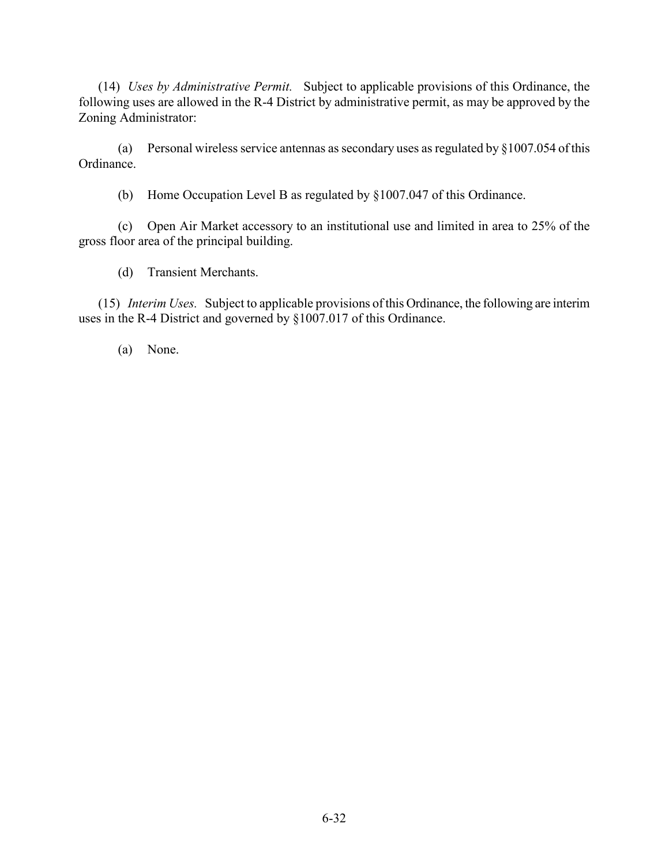(14) *Uses by Administrative Permit.* Subject to applicable provisions of this Ordinance, the following uses are allowed in the R-4 District by administrative permit, as may be approved by the Zoning Administrator:

(a) Personal wireless service antennas as secondary uses as regulated by §1007.054 of this Ordinance.

(b) Home Occupation Level B as regulated by §1007.047 of this Ordinance.

(c) Open Air Market accessory to an institutional use and limited in area to 25% of the gross floor area of the principal building.

(d) Transient Merchants.

(15) *Interim Uses.* Subject to applicable provisions of this Ordinance, the following are interim uses in the R-4 District and governed by §1007.017 of this Ordinance.

(a) None.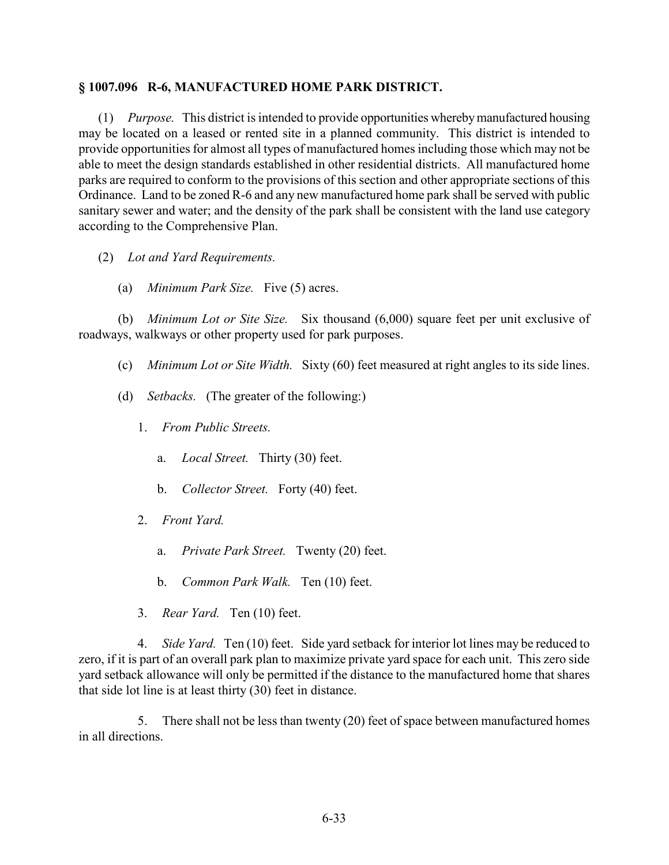## **§ 1007.096 R-6, MANUFACTURED HOME PARK DISTRICT.**

(1) *Purpose.* This district is intended to provide opportunities whereby manufactured housing may be located on a leased or rented site in a planned community. This district is intended to provide opportunities for almost all types of manufactured homes including those which may not be able to meet the design standards established in other residential districts. All manufactured home parks are required to conform to the provisions of this section and other appropriate sections of this Ordinance. Land to be zoned R-6 and any new manufactured home park shall be served with public sanitary sewer and water; and the density of the park shall be consistent with the land use category according to the Comprehensive Plan.

- (2) *Lot and Yard Requirements.*
	- (a) *Minimum Park Size.* Five (5) acres.

(b) *Minimum Lot or Site Size.* Six thousand (6,000) square feet per unit exclusive of roadways, walkways or other property used for park purposes.

- (c) *Minimum Lot or Site Width.* Sixty (60) feet measured at right angles to its side lines.
- (d) *Setbacks.* (The greater of the following:)
	- 1. *From Public Streets.*
		- a. *Local Street.* Thirty (30) feet.
		- b. *Collector Street.* Forty (40) feet.
	- 2. *Front Yard.* 
		- a. *Private Park Street.* Twenty (20) feet.
		- b. *Common Park Walk.* Ten (10) feet.
	- 3. *Rear Yard.* Ten (10) feet.

4. *Side Yard.* Ten (10) feet. Side yard setback for interior lot lines may be reduced to zero, if it is part of an overall park plan to maximize private yard space for each unit. This zero side yard setback allowance will only be permitted if the distance to the manufactured home that shares that side lot line is at least thirty (30) feet in distance.

5. There shall not be less than twenty (20) feet of space between manufactured homes in all directions.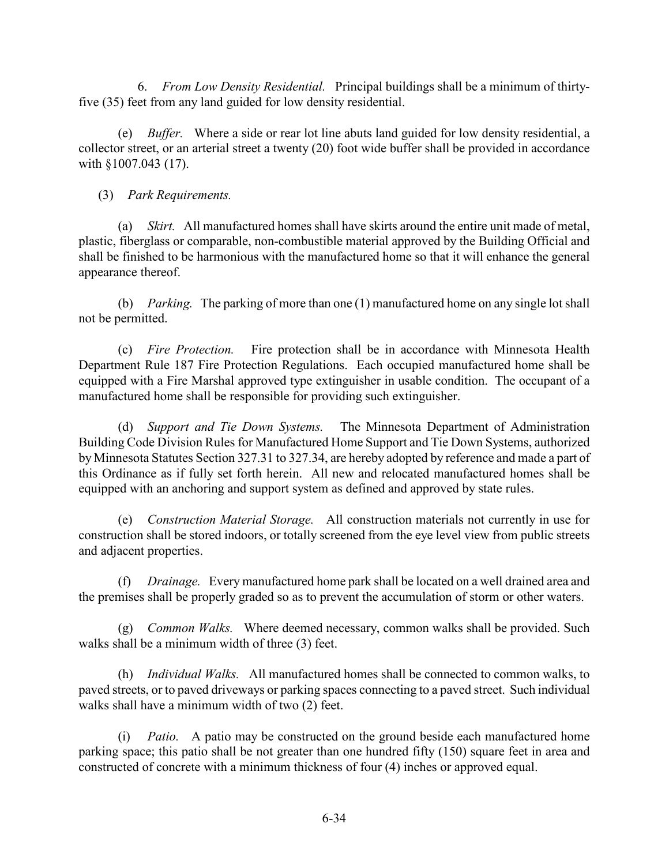6. *From Low Density Residential.* Principal buildings shall be a minimum of thirtyfive (35) feet from any land guided for low density residential.

(e) *Buffer.* Where a side or rear lot line abuts land guided for low density residential, a collector street, or an arterial street a twenty (20) foot wide buffer shall be provided in accordance with  $$1007.043(17)$ .

(3) *Park Requirements.* 

(a) *Skirt.* All manufactured homes shall have skirts around the entire unit made of metal, plastic, fiberglass or comparable, non-combustible material approved by the Building Official and shall be finished to be harmonious with the manufactured home so that it will enhance the general appearance thereof.

(b) *Parking.* The parking of more than one (1) manufactured home on any single lot shall not be permitted.

(c) *Fire Protection.* Fire protection shall be in accordance with Minnesota Health Department Rule 187 Fire Protection Regulations. Each occupied manufactured home shall be equipped with a Fire Marshal approved type extinguisher in usable condition. The occupant of a manufactured home shall be responsible for providing such extinguisher.

(d) *Support and Tie Down Systems.* The Minnesota Department of Administration Building Code Division Rules for Manufactured Home Support and Tie Down Systems, authorized by Minnesota Statutes Section 327.31 to 327.34, are hereby adopted by reference and made a part of this Ordinance as if fully set forth herein. All new and relocated manufactured homes shall be equipped with an anchoring and support system as defined and approved by state rules.

(e) *Construction Material Storage.* All construction materials not currently in use for construction shall be stored indoors, or totally screened from the eye level view from public streets and adjacent properties.

(f) *Drainage.* Every manufactured home park shall be located on a well drained area and the premises shall be properly graded so as to prevent the accumulation of storm or other waters.

(g) *Common Walks.* Where deemed necessary, common walks shall be provided. Such walks shall be a minimum width of three (3) feet.

(h) *Individual Walks.* All manufactured homes shall be connected to common walks, to paved streets, or to paved driveways or parking spaces connecting to a paved street. Such individual walks shall have a minimum width of two (2) feet.

(i) *Patio.* A patio may be constructed on the ground beside each manufactured home parking space; this patio shall be not greater than one hundred fifty (150) square feet in area and constructed of concrete with a minimum thickness of four (4) inches or approved equal.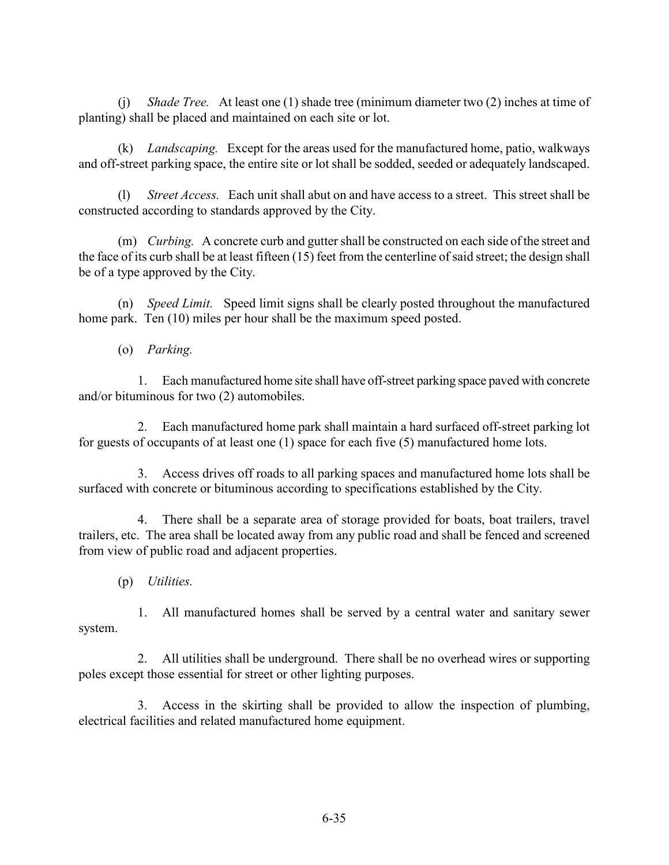(j) *Shade Tree.* At least one (1) shade tree (minimum diameter two (2) inches at time of planting) shall be placed and maintained on each site or lot.

(k) *Landscaping.* Except for the areas used for the manufactured home, patio, walkways and off-street parking space, the entire site or lot shall be sodded, seeded or adequately landscaped.

(l) *Street Access.* Each unit shall abut on and have access to a street. This street shall be constructed according to standards approved by the City.

(m) *Curbing.* A concrete curb and gutter shall be constructed on each side of the street and the face of its curb shall be at least fifteen (15) feet from the centerline of said street; the design shall be of a type approved by the City.

(n) *Speed Limit.* Speed limit signs shall be clearly posted throughout the manufactured home park. Ten (10) miles per hour shall be the maximum speed posted.

(o) *Parking.*

1. Each manufactured home site shall have off-street parking space paved with concrete and/or bituminous for two (2) automobiles.

2. Each manufactured home park shall maintain a hard surfaced off-street parking lot for guests of occupants of at least one (1) space for each five (5) manufactured home lots.

3. Access drives off roads to all parking spaces and manufactured home lots shall be surfaced with concrete or bituminous according to specifications established by the City.

4. There shall be a separate area of storage provided for boats, boat trailers, travel trailers, etc. The area shall be located away from any public road and shall be fenced and screened from view of public road and adjacent properties.

(p) *Utilities.*

1. All manufactured homes shall be served by a central water and sanitary sewer system.

2. All utilities shall be underground. There shall be no overhead wires or supporting poles except those essential for street or other lighting purposes.

3. Access in the skirting shall be provided to allow the inspection of plumbing, electrical facilities and related manufactured home equipment.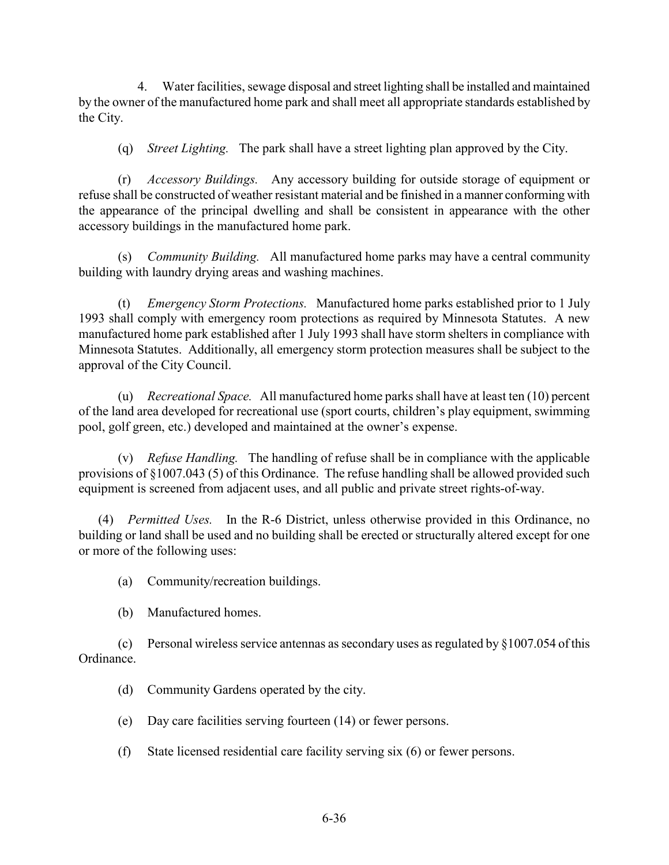4. Water facilities, sewage disposal and street lighting shall be installed and maintained by the owner of the manufactured home park and shall meet all appropriate standards established by the City.

(q) *Street Lighting.* The park shall have a street lighting plan approved by the City.

(r) *Accessory Buildings.* Any accessory building for outside storage of equipment or refuse shall be constructed of weather resistant material and be finished in a manner conforming with the appearance of the principal dwelling and shall be consistent in appearance with the other accessory buildings in the manufactured home park.

(s) *Community Building.* All manufactured home parks may have a central community building with laundry drying areas and washing machines.

(t) *Emergency Storm Protections.* Manufactured home parks established prior to 1 July 1993 shall comply with emergency room protections as required by Minnesota Statutes. A new manufactured home park established after 1 July 1993 shall have storm shelters in compliance with Minnesota Statutes. Additionally, all emergency storm protection measures shall be subject to the approval of the City Council.

(u) *Recreational Space.* All manufactured home parks shall have at least ten (10) percent of the land area developed for recreational use (sport courts, children's play equipment, swimming pool, golf green, etc.) developed and maintained at the owner's expense.

(v) *Refuse Handling.* The handling of refuse shall be in compliance with the applicable provisions of §1007.043 (5) of this Ordinance. The refuse handling shall be allowed provided such equipment is screened from adjacent uses, and all public and private street rights-of-way.

(4) *Permitted Uses.* In the R-6 District, unless otherwise provided in this Ordinance, no building or land shall be used and no building shall be erected or structurally altered except for one or more of the following uses:

- (a) Community/recreation buildings.
- (b) Manufactured homes.

(c) Personal wireless service antennas as secondary uses as regulated by §1007.054 of this Ordinance.

- (d) Community Gardens operated by the city.
- (e) Day care facilities serving fourteen (14) or fewer persons.
- (f) State licensed residential care facility serving six (6) or fewer persons.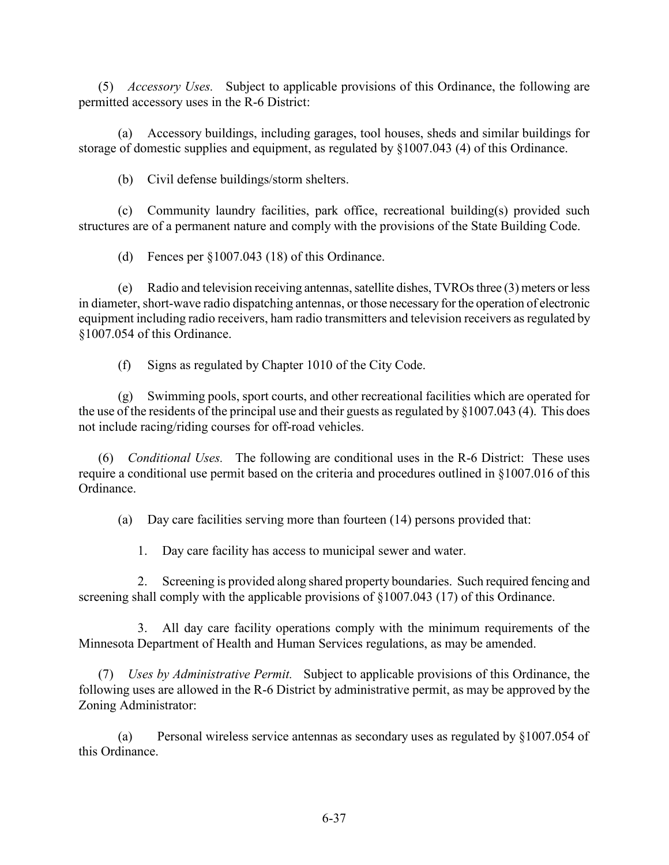(5) *Accessory Uses.* Subject to applicable provisions of this Ordinance, the following are permitted accessory uses in the R-6 District:

(a) Accessory buildings, including garages, tool houses, sheds and similar buildings for storage of domestic supplies and equipment, as regulated by §1007.043 (4) of this Ordinance.

(b) Civil defense buildings/storm shelters.

(c) Community laundry facilities, park office, recreational building(s) provided such structures are of a permanent nature and comply with the provisions of the State Building Code.

(d) Fences per §1007.043 (18) of this Ordinance.

(e) Radio and television receiving antennas, satellite dishes, TVROs three (3) meters or less in diameter, short-wave radio dispatching antennas, or those necessary for the operation of electronic equipment including radio receivers, ham radio transmitters and television receivers as regulated by §1007.054 of this Ordinance.

(f) Signs as regulated by Chapter 1010 of the City Code.

(g) Swimming pools, sport courts, and other recreational facilities which are operated for the use of the residents of the principal use and their guests as regulated by §1007.043 (4). This does not include racing/riding courses for off-road vehicles.

(6) *Conditional Uses.* The following are conditional uses in the R-6 District: These uses require a conditional use permit based on the criteria and procedures outlined in §1007.016 of this Ordinance.

(a) Day care facilities serving more than fourteen (14) persons provided that:

1. Day care facility has access to municipal sewer and water.

2. Screening is provided along shared property boundaries. Such required fencing and screening shall comply with the applicable provisions of §1007.043 (17) of this Ordinance.

3. All day care facility operations comply with the minimum requirements of the Minnesota Department of Health and Human Services regulations, as may be amended.

(7) *Uses by Administrative Permit.* Subject to applicable provisions of this Ordinance, the following uses are allowed in the R-6 District by administrative permit, as may be approved by the Zoning Administrator:

(a) Personal wireless service antennas as secondary uses as regulated by §1007.054 of this Ordinance.